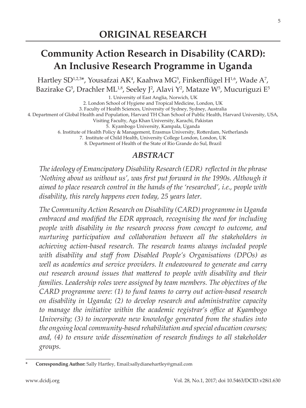# **Community Action Research in Disability (CARD): An Inclusive Research Programme in Uganda**

Hartley SD $^{1,2,3*}$ , Yousafzai AK $^4$ , Kaahwa MG $^5$ , Finkenflügel H $^{1,6}$ , Wade A $^7$ , Bazirake G $^5$ , Drachler ML $^{1,8}$ , Seeley J $^2$ , Alavi Y $^2$ , Mataze W $^5$ , Mucuriguzi E $^5$ 

1. University of East Anglia, Norwich, UK 2. London School of Hygiene and Tropical Medicine, London, UK 3. Faculty of Health Sciences, University of Sydney, Sydney, Australia 4. Department of Global Health and Population, Harvard TH Chan School of Public Health, Harvard University, USA, Visiting Faculty, Aga Khan University, Karachi, Pakistan 5. Kyambogo University, Kampala, Uganda 6. Institute of Health Policy & Management, Erasmus University, Rotterdam, Netherlands 7. Institute of Child Health, University College London, London, UK 8. Department of Health of the State of Rio Grande do Sul, Brazil

## *ABSTRACT*

*The ideology of Emancipatory Disability Research (EDR) reflected in the phrase 'Nothing about us without us', was first put forward in the 1990s. Although it aimed to place research control in the hands of the 'researched', i.e., people with disability, this rarely happens even today, 25 years later.* 

*The Community Action Research on Disability (CARD) programme in Uganda embraced and modified the EDR approach, recognising the need for including people with disability in the research process from concept to outcome, and nurturing participation and collaboration between all the stakeholders in achieving action-based research. The research teams always included people with disability and staff from Disabled People's Organisations (DPOs) as well as academics and service providers. It endeavoured to generate and carry out research around issues that mattered to people with disability and their families. Leadership roles were assigned by team members. The objectives of the CARD programme were: (1) to fund teams to carry out action-based research on disability in Uganda; (2) to develop research and administrative capacity to manage the initiative within the academic registrar's office at Kyambogo University; (3) to incorporate new knowledge generated from the studies into the ongoing local community-based rehabilitation and special education courses; and, (4) to ensure wide dissemination of research findings to all stakeholder groups.* 

**<sup>\*</sup> Corresponding Author:** Sally Hartley, Email:sallydianehartley@gmail.com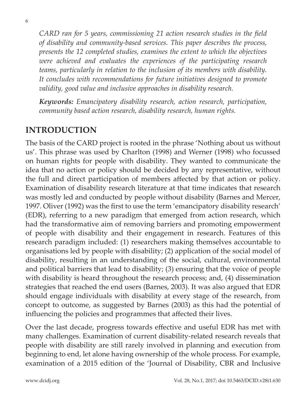*CARD ran for 5 years, commissioning 21 action research studies in the field of disability and community-based services. This paper describes the process, presents the 12 completed studies, examines the extent to which the objectives were achieved and evaluates the experiences of the participating research teams, particularly in relation to the inclusion of its members with disability. It concludes with recommendations for future initiatives designed to promote validity, good value and inclusive approaches in disability research.*

*Keywords: Emancipatory disability research, action research, participation, community based action research, disability research, human rights.*

### **INTRODUCTION**

The basis of the CARD project is rooted in the phrase 'Nothing about us without us'. This phrase was used by Charlton (1998) and Werner (1998) who focussed on human rights for people with disability. They wanted to communicate the idea that no action or policy should be decided by any representative, without the full and direct participation of members affected by that action or policy. Examination of disability research literature at that time indicates that research was mostly led and conducted by people without disability (Barnes and Mercer, 1997. Oliver (1992) was the first to use the term 'emancipatory disability research' (EDR), referring to a new paradigm that emerged from action research, which had the transformative aim of removing barriers and promoting empowerment of people with disability and their engagement in research. Features of this research paradigm included: (1) researchers making themselves accountable to organisations led by people with disability; (2) application of the social model of disability, resulting in an understanding of the social, cultural, environmental and political barriers that lead to disability; (3) ensuring that the voice of people with disability is heard throughout the research process; and, (4) dissemination strategies that reached the end users (Barnes, 2003). It was also argued that EDR should engage individuals with disability at every stage of the research, from concept to outcome, as suggested by Barnes (2003) as this had the potential of influencing the policies and programmes that affected their lives.

Over the last decade, progress towards effective and useful EDR has met with many challenges. Examination of current disability-related research reveals that people with disability are still rarely involved in planning and execution from beginning to end, let alone having ownership of the whole process. For example, examination of a 2015 edition of the 'Journal of Disability, CBR and Inclusive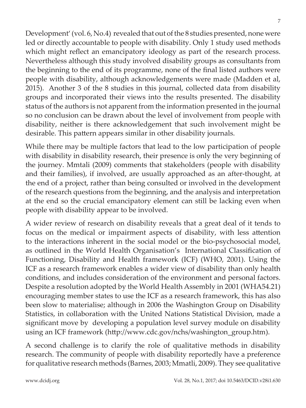7

Development' (vol. 6, No.4) revealed that out of the 8 studies presented, none were led or directly accountable to people with disability. Only 1 study used methods which might reflect an emancipatory ideology as part of the research process. Nevertheless although this study involved disability groups as consultants from the beginning to the end of its programme, none of the final listed authors were people with disability, although acknowledgements were made (Madden et al, 2015). Another 3 of the 8 studies in this journal, collected data from disability groups and incorporated their views into the results presented. The disability status of the authors is not apparent from the information presented in the journal so no conclusion can be drawn about the level of involvement from people with disability, neither is there acknowledgement that such involvement might be desirable. This pattern appears similar in other disability journals.

While there may be multiple factors that lead to the low participation of people with disability in disability research, their presence is only the very beginning of the journey. Mmtali (2009) comments that stakeholders (people with disability and their families), if involved, are usually approached as an after-thought, at the end of a project, rather than being consulted or involved in the development of the research questions from the beginning, and the analysis and interpretation at the end so the crucial emancipatory element can still be lacking even when people with disability appear to be involved.

A wider review of research on disability reveals that a great deal of it tends to focus on the medical or impairment aspects of disability, with less attention to the interactions inherent in the social model or the bio-psychosocial model, as outlined in the World Health Organisation's International Classification of Functioning, Disability and Health framework (ICF) (WHO, 2001). Using the ICF as a research framework enables a wider view of disability than only health conditions, and includes consideration of the environment and personal factors. Despite a resolution adopted by the World Health Assembly in 2001 (WHA54.21) encouraging member states to use the ICF as a research framework, this has also been slow to materialise; although in 2006 the Washington Group on Disability Statistics, in collaboration with the United Nations Statistical Division, made a significant move by developing a population level survey module on disability using an ICF framework (http://www.cdc.gov/nchs/washington\_group.htm).

A second challenge is to clarify the role of qualitative methods in disability research. The community of people with disability reportedly have a preference for qualitative research methods (Barnes, 2003; Mmatli, 2009). They see qualitative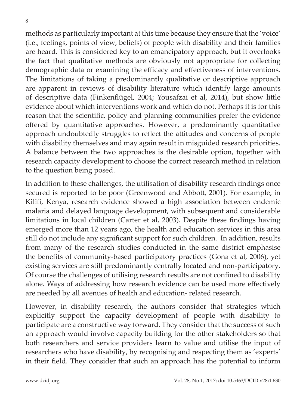8

methods as particularly important at this time because they ensure that the 'voice' (i.e., feelings, points of view, beliefs) of people with disability and their families are heard. This is considered key to an emancipatory approach, but it overlooks the fact that qualitative methods are obviously not appropriate for collecting demographic data or examining the efficacy and effectiveness of interventions. The limitations of taking a predominantly qualitative or descriptive approach are apparent in reviews of disability literature which identify large amounts of descriptive data (Finkenflügel, 2004; Yousafzai et al, 2014), but show little evidence about which interventions work and which do not. Perhaps it is for this reason that the scientific, policy and planning communities prefer the evidence offered by quantitative approaches. However, a predominantly quantitative approach undoubtedly struggles to reflect the attitudes and concerns of people with disability themselves and may again result in misguided research priorities. A balance between the two approaches is the desirable option, together with research capacity development to choose the correct research method in relation to the question being posed.

In addition to these challenges, the utilisation of disability research findings once secured is reported to be poor (Greenwood and Abbott, 2001). For example, in Kilifi, Kenya, research evidence showed a high association between endemic malaria and delayed language development, with subsequent and considerable limitations in local children (Carter et al, 2003). Despite these findings having emerged more than 12 years ago, the health and education services in this area still do not include any significant support for such children. In addition, results from many of the research studies conducted in the same district emphasise the benefits of community-based participatory practices (Gona et al, 2006), yet existing services are still predominantly centrally located and non-participatory. Of course the challenges of utilising research results are not confined to disability alone. Ways of addressing how research evidence can be used more effectively are needed by all avenues of health and education- related research.

However, in disability research, the authors consider that strategies which explicitly support the capacity development of people with disability to participate are a constructive way forward. They consider that the success of such an approach would involve capacity building for the other stakeholders so that both researchers and service providers learn to value and utilise the input of researchers who have disability, by recognising and respecting them as 'experts' in their field. They consider that such an approach has the potential to inform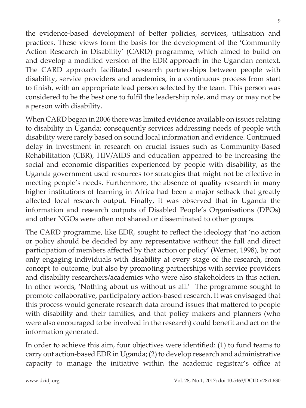When CARD began in 2006 there was limited evidence available on issues relating to disability in Uganda; consequently services addressing needs of people with disability were rarely based on sound local information and evidence. Continued delay in investment in research on crucial issues such as Community-Based Rehabilitation (CBR), HIV/AIDS and education appeared to be increasing the social and economic disparities experienced by people with disability, as the Uganda government used resources for strategies that might not be effective in meeting people's needs. Furthermore, the absence of quality research in many

higher institutions of learning in Africa had been a major setback that greatly affected local research output. Finally, it was observed that in Uganda the information and research outputs of Disabled People's Organisations (DPOs) and other NGOs were often not shared or disseminated to other groups.

the evidence-based development of better policies, services, utilisation and practices. These views form the basis for the development of the 'Community Action Research in Disability' (CARD) programme, which aimed to build on and develop a modified version of the EDR approach in the Ugandan context. The CARD approach facilitated research partnerships between people with disability, service providers and academics, in a continuous process from start to finish, with an appropriate lead person selected by the team. This person was considered to be the best one to fulfil the leadership role, and may or may not be

The CARD programme, like EDR, sought to reflect the ideology that 'no action or policy should be decided by any representative without the full and direct participation of members affected by that action or policy' (Werner, 1998), by not only engaging individuals with disability at every stage of the research, from concept to outcome, but also by promoting partnerships with service providers and disability researchers/academics who were also stakeholders in this action. In other words, 'Nothing about us without us all.' The programme sought to promote collaborative, participatory action-based research. It was envisaged that this process would generate research data around issues that mattered to people with disability and their families, and that policy makers and planners (who were also encouraged to be involved in the research) could benefit and act on the information generated.

In order to achieve this aim, four objectives were identified: (1) to fund teams to carry out action-based EDR in Uganda; (2) to develop research and administrative capacity to manage the initiative within the academic registrar's office at

a person with disability.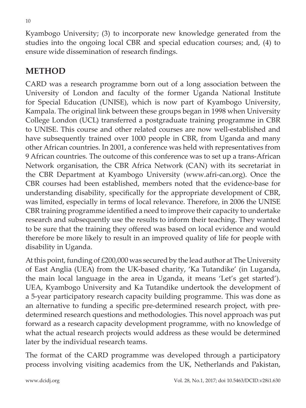Kyambogo University; (3) to incorporate new knowledge generated from the studies into the ongoing local CBR and special education courses; and, (4) to ensure wide dissemination of research findings.

## **METHOD**

CARD was a research programme born out of a long association between the University of London and faculty of the former Uganda National Institute for Special Education (UNISE), which is now part of Kyambogo University, Kampala. The original link between these groups began in 1998 when University College London (UCL) transferred a postgraduate training programme in CBR to UNISE. This course and other related courses are now well-established and have subsequently trained over 1000 people in CBR, from Uganda and many other African countries. In 2001, a conference was held with representatives from 9 African countries. The outcome of this conference was to set up a trans-African Network organisation, the CBR Africa Network (CAN) with its secretariat in the CBR Department at Kyambogo University (www.afri-can.org). Once the CBR courses had been established, members noted that the evidence-base for understanding disability, specifically for the appropriate development of CBR, was limited, especially in terms of local relevance. Therefore, in 2006 the UNISE CBR training programme identified a need to improve their capacity to undertake research and subsequently use the results to inform their teaching. They wanted to be sure that the training they offered was based on local evidence and would therefore be more likely to result in an improved quality of life for people with disability in Uganda.

At this point, funding of £200,000 was secured by the lead author at The University of East Anglia (UEA) from the UK-based charity, 'Ka Tutandike' (in Luganda, the main local language in the area in Uganda, it means 'Let's get started'). UEA, Kyambogo University and Ka Tutandike undertook the development of a 5-year participatory research capacity building programme. This was done as an alternative to funding a specific pre-determined research project, with predetermined research questions and methodologies. This novel approach was put forward as a research capacity development programme, with no knowledge of what the actual research projects would address as these would be determined later by the individual research teams.

The format of the CARD programme was developed through a participatory process involving visiting academics from the UK, Netherlands and Pakistan,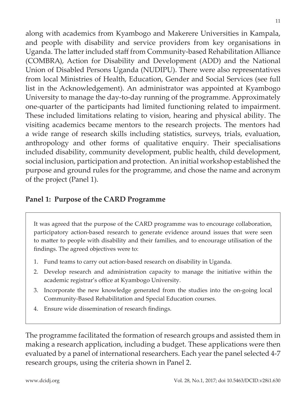along with academics from Kyambogo and Makerere Universities in Kampala, and people with disability and service providers from key organisations in Uganda. The latter included staff from Community-based Rehabilitation Alliance (COMBRA), Action for Disability and Development (ADD) and the National Union of Disabled Persons Uganda (NUDIPU). There were also representatives from local Ministries of Health, Education, Gender and Social Services (see full list in the Acknowledgement). An administrator was appointed at Kyambogo University to manage the day-to-day running of the programme. Approximately one-quarter of the participants had limited functioning related to impairment. These included limitations relating to vision, hearing and physical ability. The visiting academics became mentors to the research projects. The mentors had a wide range of research skills including statistics, surveys, trials, evaluation, anthropology and other forms of qualitative enquiry. Their specialisations included disability, community development, public health, child development, social inclusion, participation and protection. An initial workshop established the purpose and ground rules for the programme, and chose the name and acronym of the project (Panel 1).

### **Panel 1: Purpose of the CARD Programme**

It was agreed that the purpose of the CARD programme was to encourage collaboration, participatory action-based research to generate evidence around issues that were seen to matter to people with disability and their families, and to encourage utilisation of the findings. The agreed objectives were to:

- 1. Fund teams to carry out action-based research on disability in Uganda.
- 2. Develop research and administration capacity to manage the initiative within the academic registrar's office at Kyambogo University.
- 3. Incorporate the new knowledge generated from the studies into the on-going local Community-Based Rehabilitation and Special Education courses.
- 4. Ensure wide dissemination of research findings.

The programme facilitated the formation of research groups and assisted them in making a research application, including a budget. These applications were then evaluated by a panel of international researchers. Each year the panel selected 4-7 research groups, using the criteria shown in Panel 2.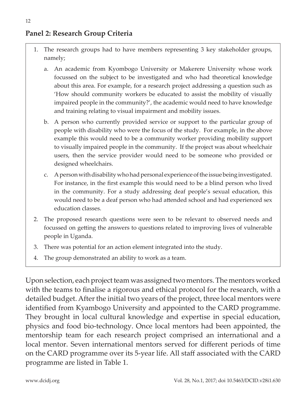## **Panel 2: Research Group Criteria**

- 1. The research groups had to have members representing 3 key stakeholder groups, namely;
	- a. An academic from Kyombogo University or Makerere University whose work focussed on the subject to be investigated and who had theoretical knowledge about this area. For example, for a research project addressing a question such as 'How should community workers be educated to assist the mobility of visually impaired people in the community?', the academic would need to have knowledge and training relating to visual impairment and mobility issues.
	- b. A person who currently provided service or support to the particular group of people with disability who were the focus of the study. For example, in the above example this would need to be a community worker providing mobility support to visually impaired people in the community. If the project was about wheelchair users, then the service provider would need to be someone who provided or designed wheelchairs.
	- c. A person with disability who had personal experience of the issue being investigated. For instance, in the first example this would need to be a blind person who lived in the community. For a study addressing deaf people's sexual education, this would need to be a deaf person who had attended school and had experienced sex education classes.
- 2. The proposed research questions were seen to be relevant to observed needs and focussed on getting the answers to questions related to improving lives of vulnerable people in Uganda.
- 3. There was potential for an action element integrated into the study.
- 4. The group demonstrated an ability to work as a team.

Upon selection, each project team was assigned two mentors. The mentors worked with the teams to finalise a rigorous and ethical protocol for the research, with a detailed budget. After the initial two years of the project, three local mentors were identified from Kyambogo University and appointed to the CARD programme. They brought in local cultural knowledge and expertise in special education, physics and food bio-technology. Once local mentors had been appointed, the mentorship team for each research project comprised an international and a local mentor. Seven international mentors served for different periods of time on the CARD programme over its 5-year life. All staff associated with the CARD programme are listed in Table 1.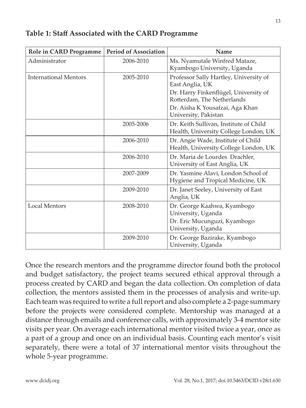| <b>Role in CARD Programme</b> | <b>Period of Association</b> | Name                                                                                                                                                                                        |
|-------------------------------|------------------------------|---------------------------------------------------------------------------------------------------------------------------------------------------------------------------------------------|
| Administrator                 | 2006-2010                    | Ms. Nyamutale Winfred Mataze,<br>Kyambogo University, Uganda                                                                                                                                |
| <b>International Mentors</b>  | 2005-2010                    | Professor Sally Hartley, University of<br>East Anglia, UK<br>Dr. Harry Finkenflügel, University of<br>Rotterdam, The Netherlands<br>Dr. Aisha K Yousafzai, Aga Khan<br>University, Pakistan |
|                               | 2005-2006                    | Dr. Keith Sullivan, Institute of Child<br>Health, University College London, UK                                                                                                             |
|                               | 2006-2010                    | Dr. Angie Wade, Institute of Child<br>Health, University College London, UK                                                                                                                 |
|                               | 2006-2010                    | Dr. Maria de Lourdes Drachler,<br>University of East Anglia, UK                                                                                                                             |
|                               | 2007-2009                    | Dr. Yasmine Alavi, London School of<br>Hygiene and Tropical Medicine, UK                                                                                                                    |
|                               | 2009-2010                    | Dr. Janet Seeley, University of East<br>Anglia, UK                                                                                                                                          |
| <b>Local Mentors</b>          | 2008-2010                    | Dr. George Kaahwa, Kyambogo<br>University, Uganda<br>Dr. Eric Mucunguzi, Kyambogo<br>University, Uganda                                                                                     |
|                               | 2009-2010                    | Dr. George Bazirake, Kyambogo<br>University, Uganda                                                                                                                                         |

#### **Table 1: Staff Associated with the CARD Programme**

Once the research mentors and the programme director found both the protocol and budget satisfactory, the project teams secured ethical approval through a process created by CARD and began the data collection. On completion of data collection, the mentors assisted them in the processes of analysis and write-up. Each team was required to write a full report and also complete a 2-page summary before the projects were considered complete. Mentorship was managed at a distance through emails and conference calls, with approximately 3-4 mentor site visits per year. On average each international mentor visited twice a year, once as a part of a group and once on an individual basis. Counting each mentor's visit separately, there were a total of 37 international mentor visits throughout the whole 5-year programme.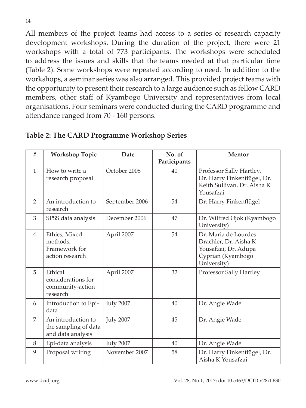All members of the project teams had access to a series of research capacity development workshops. During the duration of the project, there were 21 workshops with a total of 773 participants. The workshops were scheduled to address the issues and skills that the teams needed at that particular time (Table 2). Some workshops were repeated according to need. In addition to the workshops, a seminar series was also arranged. This provided project teams with the opportunity to present their research to a large audience such as fellow CARD members, other staff of Kyambogo University and representatives from local organisations. Four seminars were conducted during the CARD programme and attendance ranged from 70 - 160 persons.

| #              | <b>Workshop Topic</b>                                           | Date             | No. of<br>Participants | Mentor                                                                                                    |
|----------------|-----------------------------------------------------------------|------------------|------------------------|-----------------------------------------------------------------------------------------------------------|
| $\mathbf{1}$   | How to write a<br>research proposal                             | October 2005     | 40                     | Professor Sally Hartley,<br>Dr. Harry Finkenflügel, Dr.<br>Keith Sullivan, Dr. Aisha K<br>Yousafzai       |
| $\mathcal{P}$  | An introduction to<br>research                                  | September 2006   | 54                     | Dr. Harry Finkenflügel                                                                                    |
| 3              | SPSS data analysis                                              | December 2006    | 47                     | Dr. Wilfred Ojok (Kyambogo<br>University)                                                                 |
| $\overline{4}$ | Ethics, Mixed<br>methods,<br>Framework for<br>action research   | April 2007       | 54                     | Dr. Maria de Lourdes<br>Drachler, Dr. Aisha K<br>Yousafzai, Dr. Adupa<br>Cyprian (Kyambogo<br>University) |
| 5              | Ethical<br>considerations for<br>community-action<br>research   | April 2007       | 32                     | Professor Sally Hartley                                                                                   |
| 6              | Introduction to Epi-<br>data                                    | <b>July 2007</b> | 40                     | Dr. Angie Wade                                                                                            |
| 7              | An introduction to<br>the sampling of data<br>and data analysis | <b>July 2007</b> | 45                     | Dr. Angie Wade                                                                                            |
| 8              | Epi-data analysis                                               | <b>July 2007</b> | 40                     | Dr. Angie Wade                                                                                            |
| 9              | Proposal writing                                                | November 2007    | 58                     | Dr. Harry Finkenflügel, Dr.<br>Aisha K Yousafzai                                                          |

**Table 2: The CARD Programme Workshop Series**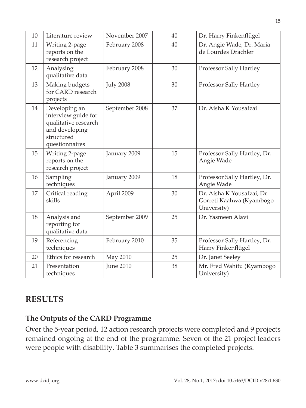| 10 | Literature review                                                                                              | November 2007    | 40 | Dr. Harry Finkenflügel                                                |
|----|----------------------------------------------------------------------------------------------------------------|------------------|----|-----------------------------------------------------------------------|
| 11 | Writing 2-page<br>reports on the<br>research project                                                           | February 2008    | 40 | Dr. Angie Wade, Dr. Maria<br>de Lourdes Drachler                      |
| 12 | Analysing<br>qualitative data                                                                                  | February 2008    | 30 | Professor Sally Hartley                                               |
| 13 | Making budgets<br>for CARD research<br>projects                                                                | <b>July 2008</b> | 30 | Professor Sally Hartley                                               |
| 14 | Developing an<br>interview guide for<br>qualitative research<br>and developing<br>structured<br>questionnaires | September 2008   | 37 | Dr. Aisha K Yousafzai                                                 |
| 15 | Writing 2-page<br>reports on the<br>research project                                                           | January 2009     | 15 | Professor Sally Hartley, Dr.<br>Angie Wade                            |
| 16 | Sampling<br>techniques                                                                                         | January 2009     | 18 | Professor Sally Hartley, Dr.<br>Angie Wade                            |
| 17 | Critical reading<br>skills                                                                                     | April 2009       | 30 | Dr. Aisha K Yousafzai, Dr.<br>Gorreti Kaahwa (Kyambogo<br>University) |
| 18 | Analysis and<br>reporting for<br>qualitative data                                                              | September 2009   | 25 | Dr. Yasmeen Alavi                                                     |
| 19 | Referencing<br>techniques                                                                                      | February 2010    | 35 | Professor Sally Hartley, Dr.<br>Harry Finkenflügel                    |
| 20 | Ethics for research                                                                                            | May 2010         | 25 | Dr. Janet Seeley                                                      |
| 21 | Presentation<br>techniques                                                                                     | <b>June 2010</b> | 38 | Mr. Fred Wahitu (Kyambogo<br>University)                              |

## **RESULTS**

### **The Outputs of the CARD Programme**

Over the 5-year period, 12 action research projects were completed and 9 projects remained ongoing at the end of the programme. Seven of the 21 project leaders were people with disability. Table 3 summarises the completed projects.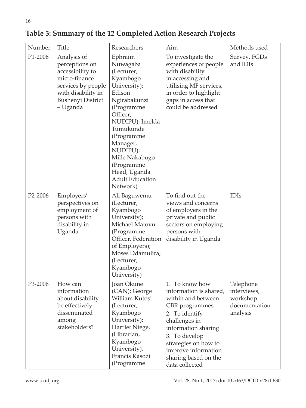| Table 3: Summary of the 12 Completed Action Research Projects |  |  |  |
|---------------------------------------------------------------|--|--|--|
|                                                               |  |  |  |

| Number  | <b>Title</b>                                                                                                                                           | Researchers                                                                                                                                                                                                                                                                   | Aim                                                                                                                                                                                                                                                  | Methods used                                                      |
|---------|--------------------------------------------------------------------------------------------------------------------------------------------------------|-------------------------------------------------------------------------------------------------------------------------------------------------------------------------------------------------------------------------------------------------------------------------------|------------------------------------------------------------------------------------------------------------------------------------------------------------------------------------------------------------------------------------------------------|-------------------------------------------------------------------|
| P1-2006 | Analysis of<br>perceptions on<br>accessibility to<br>micro-finance<br>services by people<br>with disability in<br><b>Bushenyi District</b><br>– Uganda | Ephraim<br>Nuwagaba<br>(Lecturer,<br>Kyambogo<br>University);<br>Edison<br>Ngirabakunzi<br>(Programme<br>Officer,<br>NUDIPU); Imelda<br>Tumukunde<br>(Programme<br>Manager,<br>NUDIPU);<br>Mille Nakabugo<br>(Programme<br>Head, Uganda<br><b>Adult Education</b><br>Network) | To investigate the<br>experiences of people<br>with disability<br>in accessing and<br>utilising MF services,<br>in order to highlight<br>gaps in access that<br>could be addressed                                                                   | Survey, FGDs<br>and IDIs                                          |
| P2-2006 | Employers'<br>perspectives on<br>employment of<br>persons with<br>disability in<br>Uganda                                                              | Ali Baguwemu<br>(Lecturer,<br>Kyambogo<br>University);<br>Michael Matovu<br>(Programme<br>Officer, Federation<br>of Employers);<br>Moses Ddamulira,<br>(Lecturer,<br>Kyambogo<br>University)                                                                                  | To find out the<br>views and concerns<br>of employers in the<br>private and public<br>sectors on employing<br>persons with<br>disability in Uganda                                                                                                   | <b>IDIs</b>                                                       |
| P3-2006 | How can<br>information<br>about disability<br>be effectively<br>disseminated<br>among<br>stakeholders?                                                 | Joan Okune<br>(CAN); George<br>William Kutosi<br>(Lecturer,<br>Kyambogo<br>University);<br>Harriet Ntege,<br>(Librarian,<br>Kyambogo<br>University),<br>Francis Kasozi<br>(Programme                                                                                          | 1. To know how<br>information is shared,<br>within and between<br>CBR programmes<br>2. To identify<br>challenges in<br>information sharing<br>3. To develop<br>strategies on how to<br>improve information<br>sharing based on the<br>data collected | Telephone<br>interviews,<br>workshop<br>documentation<br>analysis |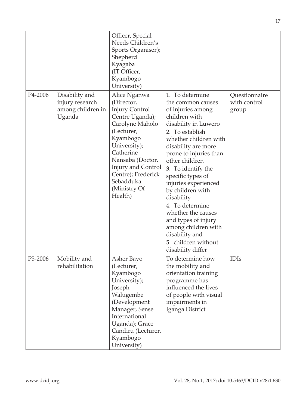|         |                                                                  | Officer, Special<br>Needs Children's<br>Sports Organiser);<br>Shepherd<br>Kyagaba<br>(IT Officer,<br>Kyambogo<br>University)                                                                                                                             |                                                                                                                                                                                                                                                                                                                                                                                                                                                                             |                                        |
|---------|------------------------------------------------------------------|----------------------------------------------------------------------------------------------------------------------------------------------------------------------------------------------------------------------------------------------------------|-----------------------------------------------------------------------------------------------------------------------------------------------------------------------------------------------------------------------------------------------------------------------------------------------------------------------------------------------------------------------------------------------------------------------------------------------------------------------------|----------------------------------------|
| P4-2006 | Disability and<br>injury research<br>among children in<br>Uganda | Alice Nganwa<br>(Director,<br><b>Injury Control</b><br>Centre Uganda);<br>Carolyne Maholo<br>(Lecturer,<br>Kyambogo<br>University);<br>Catherine<br>Nansaba (Doctor,<br>Injury and Control<br>Centre); Frederick<br>Sebadduka<br>(Ministry Of<br>Health) | 1. To determine<br>the common causes<br>of injuries among<br>children with<br>disability in Luwero<br>2. To establish<br>whether children with<br>disability are more<br>prone to injuries than<br>other children<br>3. To identify the<br>specific types of<br>injuries experienced<br>by children with<br>disability<br>4. To determine<br>whether the causes<br>and types of injury<br>among children with<br>disability and<br>5. children without<br>disability differ | Questionnaire<br>with control<br>group |
| P5-2006 | Mobility and<br>rehabilitation                                   | Asher Bayo<br>(Lecturer,<br>Kyambogo<br>University);<br>Joseph<br>Walugembe<br>(Development<br>Manager, Sense<br>International<br>Uganda); Grace<br>Candiru (Lecturer,<br>Kyambogo<br>University)                                                        | To determine how<br>the mobility and<br>orientation training<br>programme has<br>influenced the lives<br>of people with visual<br>impairments in<br>Iganga District                                                                                                                                                                                                                                                                                                         | <b>IDIs</b>                            |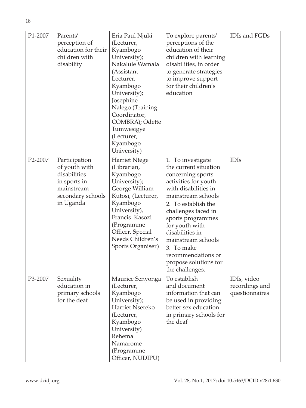| P1-2007 | Parents'<br>perception of<br>education for their<br>children with<br>disability                                | Eria Paul Njuki<br>(Lecturer,<br>Kyambogo<br>University);<br>Nakalule Wamala<br>(Assistant<br>Lecturer,<br>Kyambogo<br>University);<br>Josephine<br>Nalego (Training<br>Coordinator,<br>COMBRA); Odette<br>Tumwesigye<br>(Lecturer,<br>Kyambogo<br>University) | To explore parents'<br>perceptions of the<br>education of their<br>children with learning<br>disabilities, in order<br>to generate strategies<br>to improve support<br>for their children's<br>education                                                                                                                                            | IDIs and FGDs                                   |
|---------|----------------------------------------------------------------------------------------------------------------|----------------------------------------------------------------------------------------------------------------------------------------------------------------------------------------------------------------------------------------------------------------|-----------------------------------------------------------------------------------------------------------------------------------------------------------------------------------------------------------------------------------------------------------------------------------------------------------------------------------------------------|-------------------------------------------------|
| P2-2007 | Participation<br>of youth with<br>disabilities<br>in sports in<br>mainstream<br>secondary schools<br>in Uganda | <b>Harriet Ntege</b><br>(Librarian,<br>Kyambogo<br>University);<br>George William<br>Kutosi, (Lecturer,<br>Kyambogo<br>University),<br>Francis Kasozi<br>(Programme<br>Officer, Special<br>Needs Children's<br>Sports Organiser)                               | 1. To investigate<br>the current situation<br>concerning sports<br>activities for youth<br>with disabilities in<br>mainstream schools<br>2. To establish the<br>challenges faced in<br>sports programmes<br>for youth with<br>disabilities in<br>mainstream schools<br>3. To make<br>recommendations or<br>propose solutions for<br>the challenges. | <b>IDIs</b>                                     |
| P3-2007 | Sexuality<br>education in<br>primary schools<br>for the deaf                                                   | Maurice Senyonga<br>(Lecturer,<br>Kyambogo<br>University);<br>Harriet Nsereko<br>(Lecturer,<br>Kyambogo<br>University)<br>Rehema<br>Namarome<br>(Programme<br>Officer, NUDIPU)                                                                                 | To establish<br>and document<br>information that can<br>be used in providing<br>better sex education<br>in primary schools for<br>the deaf                                                                                                                                                                                                          | IDIs, video<br>recordings and<br>questionnaires |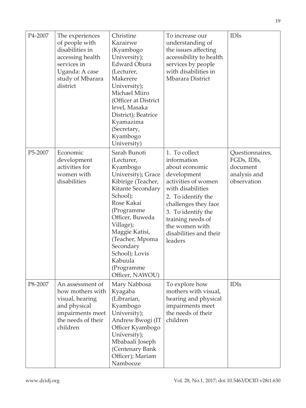| P4-2007 | The experiences<br>of people with<br>disabilities in<br>accessing health<br>services in<br>Uganda: A case<br>study of Mbarara<br>district | Christine<br>Kazairwe<br>(Kyambogo<br>University);<br><b>Edward Obura</b><br>(Lecturer,<br>Makerere<br>University);<br>Michael Miiro<br>(Officer at District<br>level, Masaka<br>District); Beatrice<br>Kyamazima<br>(Secretary,<br>Kyambogo<br>University)                                     | To increase our<br>understanding of<br>the issues affecting<br>accessibility to health<br>services by people<br>with disabilities in<br>Mbarara District                                                                                                  | <b>IDIs</b>                                                               |
|---------|-------------------------------------------------------------------------------------------------------------------------------------------|-------------------------------------------------------------------------------------------------------------------------------------------------------------------------------------------------------------------------------------------------------------------------------------------------|-----------------------------------------------------------------------------------------------------------------------------------------------------------------------------------------------------------------------------------------------------------|---------------------------------------------------------------------------|
| P5-2007 | Economic<br>development<br>activities for<br>women with<br>disabilities                                                                   | Sarah Bunoti<br>(Lecturer,<br>Kyambogo<br>University); Grace<br>Kibirige (Teacher,<br>Kitante Secondary<br>School);<br>Rose Kakai<br>(Programme<br>Officer, Buweda<br>Village);<br>Maggie Katisi,<br>(Teacher, Mpoma<br>Secondary<br>School); Lovis<br>Kabuula<br>(Programme<br>Officer, NAWOU) | 1. To collect<br>information<br>about economic<br>development<br>activities of women<br>with disabilities<br>2. To identify the<br>challenges they face<br>3. To identify the<br>training needs of<br>the women with<br>disabilities and their<br>leaders | Questionnaires,<br>FGDs, IDIs,<br>document<br>analysis and<br>observation |
| P8-2007 | An assessment of<br>how mothers with<br>visual, hearing<br>and physical<br>impairments meet<br>the needs of their<br>children             | Mary Nabbosa<br>Kyagaba<br>(Librarian,<br>Kyambogo<br>University);<br>Andrew Bwogi (IT<br>Officer Kyambogo<br>University);<br>Mbabaali Joseph<br>(Centenary Bank<br>Officer); Mariam<br>Nambooze                                                                                                | To explore how<br>mothers with visual,<br>hearing and physical<br>impairments meet<br>the needs of their<br>children                                                                                                                                      | <b>IDIs</b>                                                               |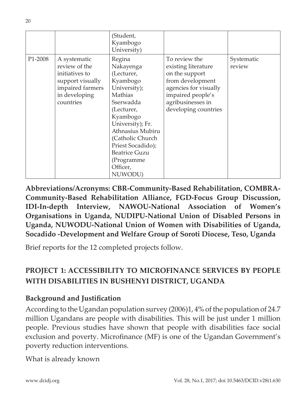|         |                                                                                                                       | (Student,<br>Kyambogo<br>University)                                                                                                                                                                                                                          |                                                                                                                                                                       |                      |
|---------|-----------------------------------------------------------------------------------------------------------------------|---------------------------------------------------------------------------------------------------------------------------------------------------------------------------------------------------------------------------------------------------------------|-----------------------------------------------------------------------------------------------------------------------------------------------------------------------|----------------------|
| P1-2008 | A systematic<br>review of the<br>initiatives to<br>support visually<br>impaired farmers<br>in developing<br>countries | Regina<br>Nakayenga<br>(Lecturer,<br>Kyambogo<br>University);<br>Mathias<br>Sserwadda<br>(Lecturer,<br>Kyambogo<br>University); Fr.<br>Athnasius Mubiru<br>(Catholic Church<br>Priest Socadido);<br><b>Beatrice Guzu</b><br>(Programme<br>Officer,<br>NUWODU) | To review the<br>existing literature<br>on the support<br>from development<br>agencies for visually<br>impaired people's<br>agribusinesses in<br>developing countries | Systematic<br>review |

**Abbreviations/Acronyms: CBR-Community-Based Rehabilitation, COMBRA-Community-Based Rehabilitation Alliance, FGD-Focus Group Discussion, IDI-In-depth Interview, NAWOU-National Association of Women's Organisations in Uganda, NUDIPU-National Union of Disabled Persons in Uganda, NUWODU-National Union of Women with Disabilities of Uganda, Socadido -Development and Welfare Group of Soroti Diocese, Teso, Uganda**

Brief reports for the 12 completed projects follow.

## **PROJECT 1: ACCESSIBILITY TO MICROFINANCE SERVICES BY PEOPLE WITH DISABILITIES IN BUSHENYI DISTRICT, UGANDA**

## **Background and Justification**

According to the Ugandan population survey (2006)1, 4% of the population of 24.7 million Ugandans are people with disabilities. This will be just under 1 million people. Previous studies have shown that people with disabilities face social exclusion and poverty. Microfinance (MF) is one of the Ugandan Government's poverty reduction interventions.

What is already known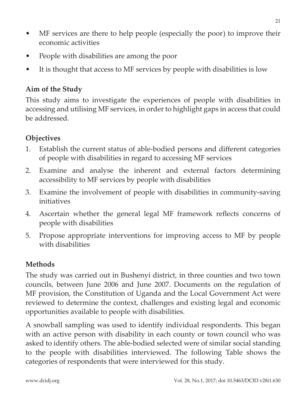- MF services are there to help people (especially the poor) to improve their economic activities
- People with disabilities are among the poor
- It is thought that access to MF services by people with disabilities is low

## **Aim of the Study**

This study aims to investigate the experiences of people with disabilities in accessing and utilising MF services, in order to highlight gaps in access that could be addressed.

## **Objectives**

- 1. Establish the current status of able-bodied persons and different categories of people with disabilities in regard to accessing MF services
- 2. Examine and analyse the inherent and external factors determining accessibility to MF services by people with disabilities
- 3. Examine the involvement of people with disabilities in community-saving initiatives
- 4. Ascertain whether the general legal MF framework reflects concerns of people with disabilities
- 5. Propose appropriate interventions for improving access to MF by people with disabilities

## **Methods**

The study was carried out in Bushenyi district, in three counties and two town councils, between June 2006 and June 2007. Documents on the regulation of MF provision, the Constitution of Uganda and the Local Government Act were reviewed to determine the context, challenges and existing legal and economic opportunities available to people with disabilities.

A snowball sampling was used to identify individual respondents. This began with an active person with disability in each county or town council who was asked to identify others. The able-bodied selected were of similar social standing to the people with disabilities interviewed. The following Table shows the categories of respondents that were interviewed for this study.

21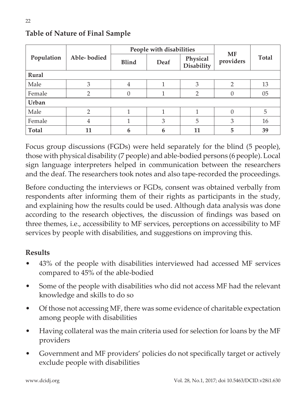|              |               | People with disabilities |      |                               |                 |       |
|--------------|---------------|--------------------------|------|-------------------------------|-----------------|-------|
| Population   | Able-bodied   | <b>Blind</b>             | Deaf | Physical<br><b>Disability</b> | MF<br>providers | Total |
| Rural        |               |                          |      |                               |                 |       |
| Male         | 3             | 4                        |      | 3                             | $\mathfrak{D}$  | 13    |
| Female       | $\mathcal{P}$ |                          |      | $\mathfrak{D}$                | 0               | 05    |
| Urban        |               |                          |      |                               |                 |       |
| Male         | $\mathcal{D}$ |                          |      |                               | $\Omega$        | 5     |
| Female       | 4             |                          | 3    | 5                             | 3               | 16    |
| <b>Total</b> | 11            | 6                        | 6    | 11                            | 5               | 39    |

## **Table of Nature of Final Sample**

Focus group discussions (FGDs) were held separately for the blind (5 people), those with physical disability (7 people) and able-bodied persons (6 people). Local sign language interpreters helped in communication between the researchers and the deaf. The researchers took notes and also tape-recorded the proceedings.

Before conducting the interviews or FGDs, consent was obtained verbally from respondents after informing them of their rights as participants in the study, and explaining how the results could be used. Although data analysis was done according to the research objectives, the discussion of findings was based on three themes, i.e., accessibility to MF services, perceptions on accessibility to MF services by people with disabilities, and suggestions on improving this.

## **Results**

- 43% of the people with disabilities interviewed had accessed MF services compared to 45% of the able-bodied
- Some of the people with disabilities who did not access MF had the relevant knowledge and skills to do so
- Of those not accessing MF, there was some evidence of charitable expectation among people with disabilities
- Having collateral was the main criteria used for selection for loans by the MF providers
- Government and MF providers' policies do not specifically target or actively exclude people with disabilities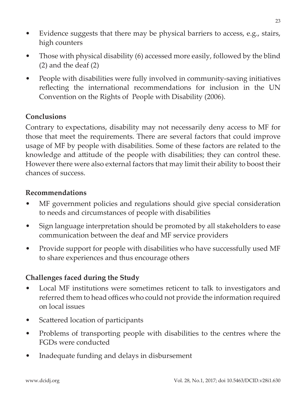- Evidence suggests that there may be physical barriers to access, e.g., stairs, high counters
- Those with physical disability (6) accessed more easily, followed by the blind (2) and the deaf (2)
- People with disabilities were fully involved in community-saving initiatives reflecting the international recommendations for inclusion in the UN Convention on the Rights of People with Disability (2006).

### **Conclusions**

Contrary to expectations, disability may not necessarily deny access to MF for those that meet the requirements. There are several factors that could improve usage of MF by people with disabilities. Some of these factors are related to the knowledge and attitude of the people with disabilities; they can control these. However there were also external factors that may limit their ability to boost their chances of success.

#### **Recommendations**

- MF government policies and regulations should give special consideration to needs and circumstances of people with disabilities
- Sign language interpretation should be promoted by all stakeholders to ease communication between the deaf and MF service providers
- Provide support for people with disabilities who have successfully used MF to share experiences and thus encourage others

## **Challenges faced during the Study**

- Local MF institutions were sometimes reticent to talk to investigators and referred them to head offices who could not provide the information required on local issues
- Scattered location of participants
- Problems of transporting people with disabilities to the centres where the FGDs were conducted
- Inadequate funding and delays in disbursement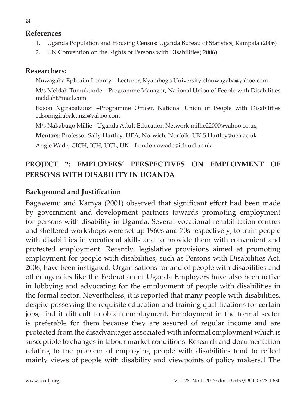#### **References**

- 1. Uganda Population and Housing Census: Uganda Bureau of Statistics, Kampala (2006)
- 2. UN Convention on the Rights of Persons with Disabilities( 2006)

#### **Researchers:**

Nuwagaba Ephraim Lemmy – Lecturer, Kyambogo University elnuwagaba@yahoo.com

M/s Meldah Tumukunde – Programme Manager, National Union of People with Disabilities meldaht@mail.com

Edson Ngirabakunzi –Programme Officer, National Union of People with Disabilities edsonngirabakunzi@yahoo.com

M/s Nakabugo Millie - Uganda Adult Education Network millie22000@yahoo.co.ug

**Mentors:** Professor Sally Hartley, UEA, Norwich, Norfolk, UK S.Hartley@uea.ac.uk

Angie Wade, CICH, ICH, UCL, UK – London awade@ich.ucl.ac.uk

## **PROJECT 2: EMPLOYERS' PERSPECTIVES ON EMPLOYMENT OF PERSONS WITH DISABILITY IN UGANDA**

## **Background and Justification**

Bagawemu and Kamya (2001) observed that significant effort had been made by government and development partners towards promoting employment for persons with disability in Uganda. Several vocational rehabilitation centres and sheltered workshops were set up 1960s and 70s respectively, to train people with disabilities in vocational skills and to provide them with convenient and protected employment. Recently, legislative provisions aimed at promoting employment for people with disabilities, such as Persons with Disabilities Act, 2006, have been instigated. Organisations for and of people with disabilities and other agencies like the Federation of Uganda Employers have also been active in lobbying and advocating for the employment of people with disabilities in the formal sector. Nevertheless, it is reported that many people with disabilities, despite possessing the requisite education and training qualifications for certain jobs, find it difficult to obtain employment. Employment in the formal sector is preferable for them because they are assured of regular income and are protected from the disadvantages associated with informal employment which is susceptible to changes in labour market conditions. Research and documentation relating to the problem of employing people with disabilities tend to reflect mainly views of people with disability and viewpoints of policy makers.1 The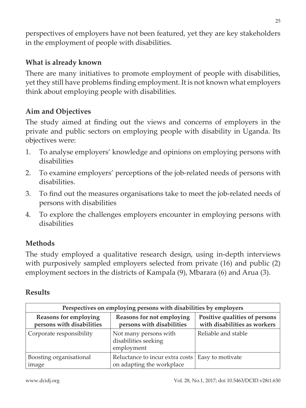perspectives of employers have not been featured, yet they are key stakeholders in the employment of people with disabilities.

## **What is already known**

There are many initiatives to promote employment of people with disabilities, yet they still have problems finding employment. It is not known what employers think about employing people with disabilities.

## **Aim and Objectives**

The study aimed at finding out the views and concerns of employers in the private and public sectors on employing people with disability in Uganda. Its objectives were:

- 1. To analyse employers' knowledge and opinions on employing persons with disabilities
- 2. To examine employers' perceptions of the job-related needs of persons with disabilities.
- 3. To find out the measures organisations take to meet the job-related needs of persons with disabilities
- 4. To explore the challenges employers encounter in employing persons with disabilities

## **Methods**

The study employed a qualitative research design, using in-depth interviews with purposively sampled employers selected from private (16) and public (2) employment sectors in the districts of Kampala (9), Mbarara (6) and Arua (3).

### **Results**

| Perspectives on employing persons with disabilities by employers |                                                               |                     |  |  |
|------------------------------------------------------------------|---------------------------------------------------------------|---------------------|--|--|
| <b>Reasons for employing</b><br>persons with disabilities        | Positive qualities of persons<br>with disabilities as workers |                     |  |  |
| Corporate responsibility                                         | Not many persons with<br>disabilities seeking<br>employment   | Reliable and stable |  |  |
| Boosting organisational<br>image                                 | Reluctance to incur extra costs<br>on adapting the workplace  | Easy to motivate    |  |  |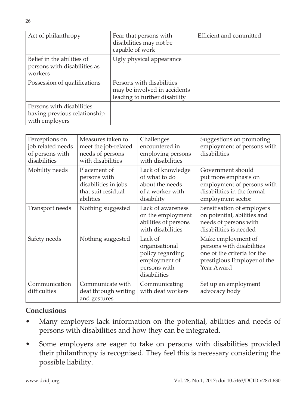| Act of philanthropy                                                         | Fear that persons with<br>disabilities may not be<br>capable of work                       | Efficient and committed |
|-----------------------------------------------------------------------------|--------------------------------------------------------------------------------------------|-------------------------|
| Belief in the abilities of<br>persons with disabilities as<br>workers       | Ugly physical appearance                                                                   |                         |
| Possession of qualifications                                                | Persons with disabilities<br>may be involved in accidents<br>leading to further disability |                         |
| Persons with disabilities<br>having previous relationship<br>with employers |                                                                                            |                         |

| Perceptions on<br>job related needs<br>of persons with<br>disabilities | Measures taken to<br>meet the job-related<br>needs of persons<br>with disabilities      | Challenges<br>encountered in<br>employing persons<br>with disabilities                         | Suggestions on promoting<br>employment of persons with<br>disabilities                                                      |
|------------------------------------------------------------------------|-----------------------------------------------------------------------------------------|------------------------------------------------------------------------------------------------|-----------------------------------------------------------------------------------------------------------------------------|
| Mobility needs                                                         | Placement of<br>persons with<br>disabilities in jobs<br>that suit residual<br>abilities | Lack of knowledge<br>of what to do<br>about the needs<br>of a worker with<br>disability        | Government should<br>put more emphasis on<br>employment of persons with<br>disabilities in the formal<br>employment sector  |
| Transport needs                                                        | Nothing suggested                                                                       | Lack of awareness<br>on the employment<br>abilities of persons<br>with disabilities            | Sensitisation of employers<br>on potential, abilities and<br>needs of persons with<br>disabilities is needed                |
| Safety needs                                                           | Nothing suggested                                                                       | Lack of<br>organisational<br>policy regarding<br>employment of<br>persons with<br>disabilities | Make employment of<br>persons with disabilities<br>one of the criteria for the<br>prestigious Employer of the<br>Year Award |
| Communication<br>difficulties                                          | Communicate with<br>deaf through writing<br>and gestures                                | Communicating<br>with deaf workers                                                             | Set up an employment<br>advocacy body                                                                                       |

### **Conclusions**

- Many employers lack information on the potential, abilities and needs of persons with disabilities and how they can be integrated.
- Some employers are eager to take on persons with disabilities provided their philanthropy is recognised. They feel this is necessary considering the possible liability.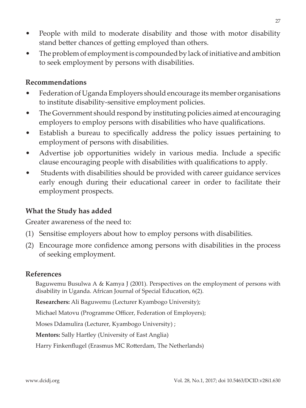- People with mild to moderate disability and those with motor disability stand better chances of getting employed than others.
- The problem of employment is compounded by lack of initiative and ambition to seek employment by persons with disabilities.

#### **Recommendations**

- Federation of Uganda Employers should encourage its member organisations to institute disability-sensitive employment policies.
- The Government should respond by instituting policies aimed at encouraging employers to employ persons with disabilities who have qualifications.
- Establish a bureau to specifically address the policy issues pertaining to employment of persons with disabilities.
- Advertise job opportunities widely in various media. Include a specific clause encouraging people with disabilities with qualifications to apply.
- Students with disabilities should be provided with career guidance services early enough during their educational career in order to facilitate their employment prospects.

### **What the Study has added**

Greater awareness of the need to:

- (1) Sensitise employers about how to employ persons with disabilities.
- (2) Encourage more confidence among persons with disabilities in the process of seeking employment.

#### **References**

Baguwemu Busulwa A & Kamya J (2001). Perspectives on the employment of persons with disability in Uganda. African Journal of Special Education, 6(2).

**Researchers:** Ali Baguwemu (Lecturer Kyambogo University);

Michael Matovu (Programme Officer, Federation of Employers);

Moses Ddamulira (Lecturer, Kyambogo University) ;

**Mentors:** Sally Hartley (University of East Anglia)

Harry Finkenflugel (Erasmus MC Rotterdam, The Netherlands)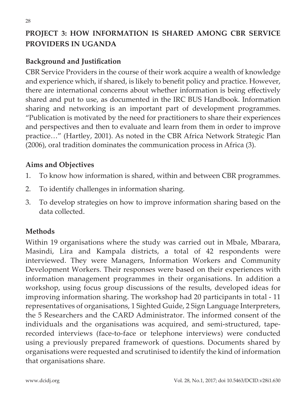## **PROJECT 3: HOW INFORMATION IS SHARED AMONG CBR SERVICE PROVIDERS IN UGANDA**

## **Background and Justification**

CBR Service Providers in the course of their work acquire a wealth of knowledge and experience which, if shared, is likely to benefit policy and practice. However, there are international concerns about whether information is being effectively shared and put to use, as documented in the IRC BUS Handbook. Information sharing and networking is an important part of development programmes. "Publication is motivated by the need for practitioners to share their experiences and perspectives and then to evaluate and learn from them in order to improve practice…" (Hartley, 2001). As noted in the CBR Africa Network Strategic Plan (2006), oral tradition dominates the communication process in Africa (3).

### **Aims and Objectives**

- 1. To know how information is shared, within and between CBR programmes.
- 2. To identify challenges in information sharing.
- 3. To develop strategies on how to improve information sharing based on the data collected.

### **Methods**

Within 19 organisations where the study was carried out in Mbale, Mbarara, Masindi, Lira and Kampala districts, a total of 42 respondents were interviewed. They were Managers, Information Workers and Community Development Workers. Their responses were based on their experiences with information management programmes in their organisations. In addition a workshop, using focus group discussions of the results, developed ideas for improving information sharing. The workshop had 20 participants in total - 11 representatives of organisations, 1 Sighted Guide, 2 Sign Language Interpreters, the 5 Researchers and the CARD Administrator. The informed consent of the individuals and the organisations was acquired, and semi-structured, taperecorded interviews (face-to-face or telephone interviews) were conducted using a previously prepared framework of questions. Documents shared by organisations were requested and scrutinised to identify the kind of information that organisations share.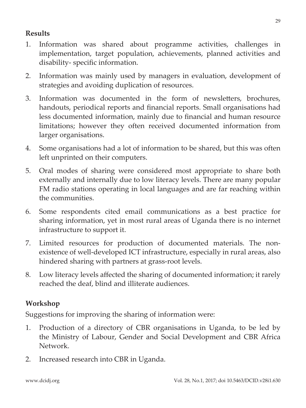## **Results**

- 1. Information was shared about programme activities, challenges in implementation, target population, achievements, planned activities and disability- specific information.
- 2. Information was mainly used by managers in evaluation, development of strategies and avoiding duplication of resources.
- 3. Information was documented in the form of newsletters, brochures, handouts, periodical reports and financial reports. Small organisations had less documented information, mainly due to financial and human resource limitations; however they often received documented information from larger organisations.
- 4. Some organisations had a lot of information to be shared, but this was often left unprinted on their computers.
- 5. Oral modes of sharing were considered most appropriate to share both externally and internally due to low literacy levels. There are many popular FM radio stations operating in local languages and are far reaching within the communities.
- 6. Some respondents cited email communications as a best practice for sharing information, yet in most rural areas of Uganda there is no internet infrastructure to support it.
- 7. Limited resources for production of documented materials. The nonexistence of well-developed ICT infrastructure, especially in rural areas, also hindered sharing with partners at grass-root levels.
- 8. Low literacy levels affected the sharing of documented information; it rarely reached the deaf, blind and illiterate audiences.

## **Workshop**

Suggestions for improving the sharing of information were:

- 1. Production of a directory of CBR organisations in Uganda, to be led by the Ministry of Labour, Gender and Social Development and CBR Africa Network.
- 2. Increased research into CBR in Uganda.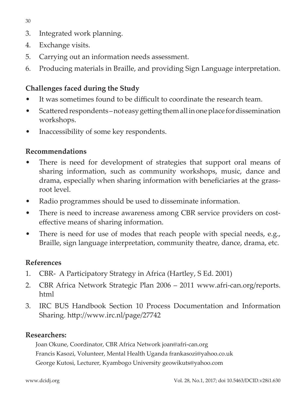30

- 3. Integrated work planning.
- 4. Exchange visits.
- 5. Carrying out an information needs assessment.
- 6. Producing materials in Braille, and providing Sign Language interpretation.

## **Challenges faced during the Study**

- It was sometimes found to be difficult to coordinate the research team.
- Scattered respondents not easy getting them all in one place for dissemination workshops.
- Inaccessibility of some key respondents.

## **Recommendations**

- There is need for development of strategies that support oral means of sharing information, such as community workshops, music, dance and drama, especially when sharing information with beneficiaries at the grassroot level.
- Radio programmes should be used to disseminate information.
- There is need to increase awareness among CBR service providers on costeffective means of sharing information.
- There is need for use of modes that reach people with special needs, e.g., Braille, sign language interpretation, community theatre, dance, drama, etc.

## **References**

- 1. CBR- A Participatory Strategy in Africa (Hartley, S Ed. 2001)
- 2. CBR Africa Network Strategic Plan 2006 2011 www.afri-can.org/reports. html
- 3. IRC BUS Handbook Section 10 Process Documentation and Information Sharing. http://www.irc.nl/page/27742

## **Researchers:**

Joan Okune, Coordinator, CBR Africa Network joan@afri-can.org Francis Kasozi, Volunteer, Mental Health Uganda frankasozi@yahoo.co.uk George Kutosi, Lecturer, Kyambogo University geowikuts@yahoo.com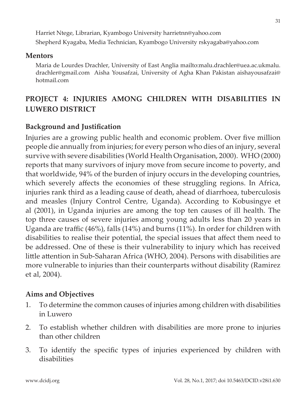Harriet Ntege, Librarian, Kyambogo University harrietnn@yahoo.com Shepherd Kyagaba, Media Technician, Kyambogo University rskyagaba@yahoo.com

#### **Mentors**

Maria de Lourdes Drachler, University of East Anglia mailto:malu.drachler@uea.ac.ukmalu. drachler@gmail.com Aisha Yousafzai, University of Agha Khan Pakistan aishayousafzai@ hotmail.com

## **PROJECT 4: INJURIES AMONG CHILDREN WITH DISABILITIES IN LUWERO DISTRICT**

### **Background and Justification**

Injuries are a growing public health and economic problem. Over five million people die annually from injuries; for every person who dies of an injury, several survive with severe disabilities (World Health Organisation, 2000). WHO (2000) reports that many survivors of injury move from secure income to poverty, and that worldwide, 94% of the burden of injury occurs in the developing countries, which severely affects the economies of these struggling regions. In Africa, injuries rank third as a leading cause of death, ahead of diarrhoea, tuberculosis and measles (Injury Control Centre, Uganda). According to Kobusingye et al (2001), in Uganda injuries are among the top ten causes of ill health. The top three causes of severe injuries among young adults less than 20 years in Uganda are traffic (46%), falls (14%) and burns (11%). In order for children with disabilities to realise their potential, the special issues that affect them need to be addressed. One of these is their vulnerability to injury which has received little attention in Sub-Saharan Africa (WHO, 2004). Persons with disabilities are more vulnerable to injuries than their counterparts without disability (Ramirez et al, 2004).

#### **Aims and Objectives**

- 1. To determine the common causes of injuries among children with disabilities in Luwero
- 2. To establish whether children with disabilities are more prone to injuries than other children
- 3. To identify the specific types of injuries experienced by children with disabilities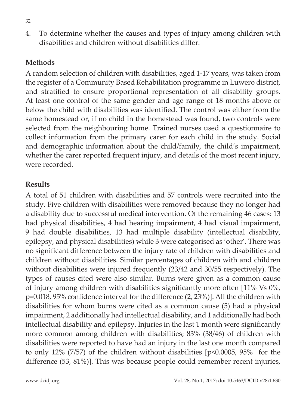4. To determine whether the causes and types of injury among children with disabilities and children without disabilities differ.

### **Methods**

A random selection of children with disabilities, aged 1-17 years, was taken from the register of a Community Based Rehabilitation programme in Luwero district, and stratified to ensure proportional representation of all disability groups. At least one control of the same gender and age range of 18 months above or below the child with disabilities was identified. The control was either from the same homestead or, if no child in the homestead was found, two controls were selected from the neighbouring home. Trained nurses used a questionnaire to collect information from the primary carer for each child in the study. Social and demographic information about the child/family, the child's impairment, whether the carer reported frequent injury, and details of the most recent injury, were recorded.

### **Results**

A total of 51 children with disabilities and 57 controls were recruited into the study. Five children with disabilities were removed because they no longer had a disability due to successful medical intervention. Of the remaining 46 cases: 13 had physical disabilities, 4 had hearing impairment, 4 had visual impairment, 9 had double disabilities, 13 had multiple disability (intellectual disability, epilepsy, and physical disabilities) while 3 were categorised as 'other'. There was no significant difference between the injury rate of children with disabilities and children without disabilities. Similar percentages of children with and children without disabilities were injured frequently (23/42 and 30/55 respectively). The types of causes cited were also similar. Burns were given as a common cause of injury among children with disabilities significantly more often [11% Vs 0%, p=0.018, 95% confidence interval for the difference (2, 23%)]. All the children with disabilities for whom burns were cited as a common cause (5) had a physical impairment, 2 additionally had intellectual disability, and 1 additionally had both intellectual disability and epilepsy. Injuries in the last 1 month were significantly more common among children with disabilities; 83% (38/46) of children with disabilities were reported to have had an injury in the last one month compared to only 12% (7/57) of the children without disabilities [p<0.0005, 95% for the difference (53, 81%)]. This was because people could remember recent injuries,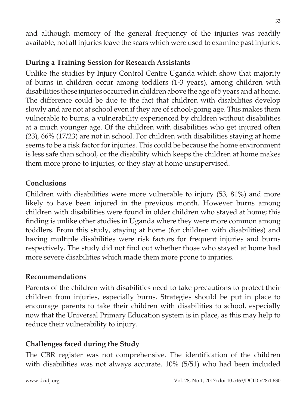and although memory of the general frequency of the injuries was readily available, not all injuries leave the scars which were used to examine past injuries.

## **During a Training Session for Research Assistants**

Unlike the studies by Injury Control Centre Uganda which show that majority of burns in children occur among toddlers (1-3 years), among children with disabilities these injuries occurred in children above the age of 5 years and at home. The difference could be due to the fact that children with disabilities develop slowly and are not at school even if they are of school-going age. This makes them vulnerable to burns, a vulnerability experienced by children without disabilities at a much younger age. Of the children with disabilities who get injured often (23), 66% (17/23) are not in school. For children with disabilities staying at home seems to be a risk factor for injuries. This could be because the home environment is less safe than school, or the disability which keeps the children at home makes them more prone to injuries, or they stay at home unsupervised.

### **Conclusions**

Children with disabilities were more vulnerable to injury (53, 81%) and more likely to have been injured in the previous month. However burns among children with disabilities were found in older children who stayed at home; this finding is unlike other studies in Uganda where they were more common among toddlers. From this study, staying at home (for children with disabilities) and having multiple disabilities were risk factors for frequent injuries and burns respectively. The study did not find out whether those who stayed at home had more severe disabilities which made them more prone to injuries.

### **Recommendations**

Parents of the children with disabilities need to take precautions to protect their children from injuries, especially burns. Strategies should be put in place to encourage parents to take their children with disabilities to school, especially now that the Universal Primary Education system is in place, as this may help to reduce their vulnerability to injury.

## **Challenges faced during the Study**

The CBR register was not comprehensive. The identification of the children with disabilities was not always accurate. 10% (5/51) who had been included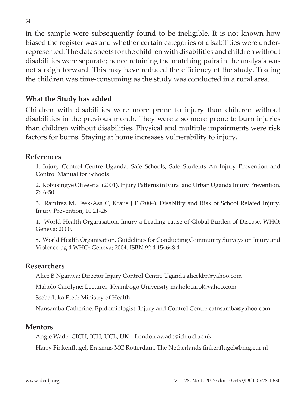in the sample were subsequently found to be ineligible. It is not known how biased the register was and whether certain categories of disabilities were underrepresented. The data sheets for the children with disabilities and children without disabilities were separate; hence retaining the matching pairs in the analysis was not straightforward. This may have reduced the efficiency of the study. Tracing the children was time-consuming as the study was conducted in a rural area.

### **What the Study has added**

Children with disabilities were more prone to injury than children without disabilities in the previous month. They were also more prone to burn injuries than children without disabilities. Physical and multiple impairments were risk factors for burns. Staying at home increases vulnerability to injury.

#### **References**

1. Injury Control Centre Uganda. Safe Schools, Safe Students An Injury Prevention and Control Manual for Schools

2. Kobusingye Olive et al (2001). Injury Patterns in Rural and Urban Uganda Injury Prevention, 7:46-50

3. Ramirez M, Peek-Asa C, Kraus J F (2004). Disability and Risk of School Related Injury. Injury Prevention, 10:21-26

4. World Health Organisation. Injury a Leading cause of Global Burden of Disease. WHO: Geneva; 2000.

5. World Health Organisation. Guidelines for Conducting Community Surveys on Injury and Violence pg 4 WHO: Geneva; 2004. ISBN 92 4 154648 4

#### **Researchers**

Alice B Nganwa: Director Injury Control Centre Uganda alicekbn@yahoo.com

Maholo Carolyne: Lecturer, Kyambogo University maholocarol@yahoo.com

Ssebaduka Fred: Ministry of Health

Nansamba Catherine: Epidemiologist: Injury and Control Centre catnsamba@yahoo.com

#### **Mentors**

Angie Wade, CICH, ICH, UCL, UK – London awade@ich.ucl.ac.uk

Harry Finkenflugel, Erasmus MC Rotterdam, The Netherlands finkenflugel@bmg.eur.nl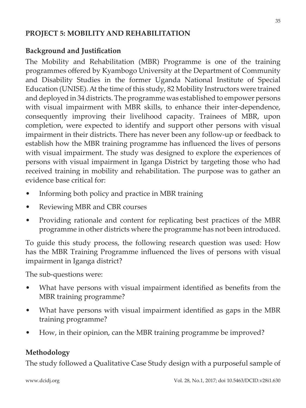## **PROJECT 5: MOBILITY AND REHABILITATION**

## **Background and Justification**

The Mobility and Rehabilitation (MBR) Programme is one of the training programmes offered by Kyambogo University at the Department of Community and Disability Studies in the former Uganda National Institute of Special Education (UNISE). At the time of this study, 82 Mobility Instructors were trained and deployed in 34 districts. The programme was established to empower persons with visual impairment with MBR skills, to enhance their inter-dependence, consequently improving their livelihood capacity. Trainees of MBR, upon completion, were expected to identify and support other persons with visual impairment in their districts. There has never been any follow-up or feedback to establish how the MBR training programme has influenced the lives of persons with visual impairment. The study was designed to explore the experiences of persons with visual impairment in Iganga District by targeting those who had received training in mobility and rehabilitation. The purpose was to gather an evidence base critical for:

- Informing both policy and practice in MBR training
- Reviewing MBR and CBR courses
- Providing rationale and content for replicating best practices of the MBR programme in other districts where the programme has not been introduced.

To guide this study process, the following research question was used: How has the MBR Training Programme influenced the lives of persons with visual impairment in Iganga district?

The sub-questions were:

- What have persons with visual impairment identified as benefits from the MBR training programme?
- What have persons with visual impairment identified as gaps in the MBR training programme?
- How, in their opinion, can the MBR training programme be improved?

## **Methodology**

The study followed a Qualitative Case Study design with a purposeful sample of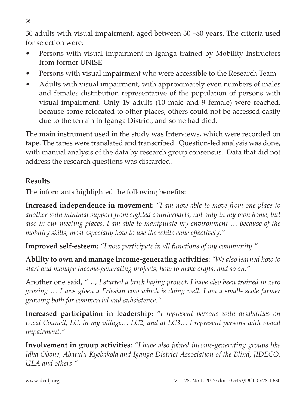30 adults with visual impairment, aged between 30 –80 years. The criteria used for selection were:

- Persons with visual impairment in Iganga trained by Mobility Instructors from former UNISE
- Persons with visual impairment who were accessible to the Research Team
- Adults with visual impairment, with approximately even numbers of males and females distribution representative of the population of persons with visual impairment. Only 19 adults (10 male and 9 female) were reached, because some relocated to other places, others could not be accessed easily due to the terrain in Iganga District, and some had died.

The main instrument used in the study was Interviews, which were recorded on tape. The tapes were translated and transcribed. Question-led analysis was done, with manual analysis of the data by research group consensus. Data that did not address the research questions was discarded.

## **Results**

The informants highlighted the following benefits:

**Increased independence in movement:** *"I am now able to move from one place to another with minimal support from sighted counterparts, not only in my own home, but also in our meeting places. I am able to manipulate my environment … because of the mobility skills, most especially how to use the white cane effectively."*

**Improved self-esteem:** *"I now participate in all functions of my community."*

**Ability to own and manage income-generating activities:** *"We also learned how to start and manage income-generating projects, how to make crafts, and so on."* 

Another one said, *"…, I started a brick laying project, I have also been trained in zero grazing … I was given a Friesian cow which is doing well. I am a small- scale farmer growing both for commercial and subsistence."*

**Increased participation in leadership:** *"I represent persons with disabilities on Local Council, LC, in my village… LC2, and at LC3… I represent persons with visual impairment."*

**Involvement in group activities:** *"I have also joined income-generating groups like Idha Obone, Abatulu Kyebakola and Iganga District Association of the Blind, JIDECO, ULA and others."*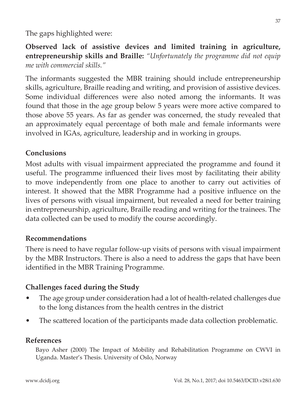The gaps highlighted were:

**Observed lack of assistive devices and limited training in agriculture, entrepreneurship skills and Braille:** *"Unfortunately the programme did not equip me with commercial skills."*

The informants suggested the MBR training should include entrepreneurship skills, agriculture, Braille reading and writing, and provision of assistive devices. Some individual differences were also noted among the informants. It was found that those in the age group below 5 years were more active compared to those above 55 years. As far as gender was concerned, the study revealed that an approximately equal percentage of both male and female informants were involved in IGAs, agriculture, leadership and in working in groups.

## **Conclusions**

Most adults with visual impairment appreciated the programme and found it useful. The programme influenced their lives most by facilitating their ability to move independently from one place to another to carry out activities of interest. It showed that the MBR Programme had a positive influence on the lives of persons with visual impairment, but revealed a need for better training in entrepreneurship, agriculture, Braille reading and writing for the trainees. The data collected can be used to modify the course accordingly.

### **Recommendations**

There is need to have regular follow-up visits of persons with visual impairment by the MBR Instructors. There is also a need to address the gaps that have been identified in the MBR Training Programme.

## **Challenges faced during the Study**

- The age group under consideration had a lot of health-related challenges due to the long distances from the health centres in the district
- The scattered location of the participants made data collection problematic.

### **References**

Bayo Asher (2000) The Impact of Mobility and Rehabilitation Programme on CWVI in Uganda. Master's Thesis. University of Oslo, Norway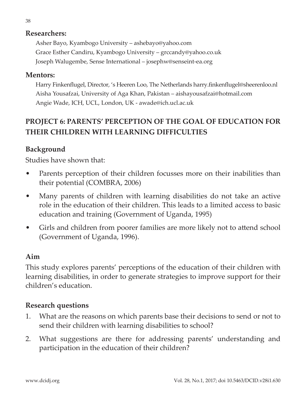#### **Researchers:**

Asher Bayo, Kyambogo University – ashebayo@yahoo.com Grace Esther Candiru, Kyambogo University – grccandy@yahoo.co.uk Joseph Walugembe, Sense International – josephw@senseint-ea.org

#### **Mentors:**

Harry Finkenflugel, Director, 's Heeren Loo, The Netherlands harry.finkenflugel@sheerenloo.nl Aisha Yousafzai, University of Aga Khan, Pakistan – aishayousafzai@hotmail.com Angie Wade, ICH, UCL, London, UK - awade@ich.ucl.ac.uk

## **PROJECT 6: PARENTS' PERCEPTION OF THE GOAL OF EDUCATION FOR THEIR CHILDREN WITH LEARNING DIFFICULTIES**

### **Background**

Studies have shown that:

- Parents perception of their children focusses more on their inabilities than their potential (COMBRA, 2006)
- Many parents of children with learning disabilities do not take an active role in the education of their children. This leads to a limited access to basic education and training (Government of Uganda, 1995)
- Girls and children from poorer families are more likely not to attend school (Government of Uganda, 1996).

#### **Aim**

This study explores parents' perceptions of the education of their children with learning disabilities, in order to generate strategies to improve support for their children's education.

### **Research questions**

- 1. What are the reasons on which parents base their decisions to send or not to send their children with learning disabilities to school?
- 2. What suggestions are there for addressing parents' understanding and participation in the education of their children?

38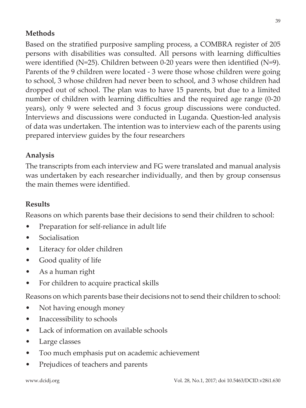## **Methods**

Based on the stratified purposive sampling process, a COMBRA register of 205 persons with disabilities was consulted. All persons with learning difficulties were identified  $(N=25)$ . Children between 0-20 years were then identified  $(N=9)$ . Parents of the 9 children were located - 3 were those whose children were going to school, 3 whose children had never been to school, and 3 whose children had dropped out of school. The plan was to have 15 parents, but due to a limited number of children with learning difficulties and the required age range (0-20 years), only 9 were selected and 3 focus group discussions were conducted. Interviews and discussions were conducted in Luganda. Question-led analysis of data was undertaken. The intention was to interview each of the parents using prepared interview guides by the four researchers

### **Analysis**

The transcripts from each interview and FG were translated and manual analysis was undertaken by each researcher individually, and then by group consensus the main themes were identified.

## **Results**

Reasons on which parents base their decisions to send their children to school:

- Preparation for self-reliance in adult life
- Socialisation
- Literacy for older children
- Good quality of life
- As a human right
- For children to acquire practical skills

Reasons on which parents base their decisions not to send their children to school:

- Not having enough money
- Inaccessibility to schools
- Lack of information on available schools
- Large classes
- Too much emphasis put on academic achievement
- Prejudices of teachers and parents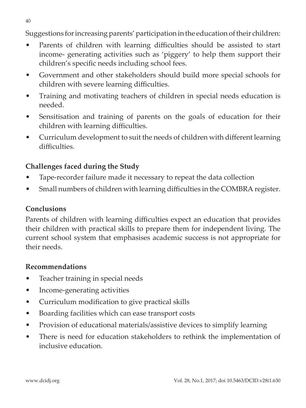Suggestions for increasing parents' participation in the education of their children:

- Parents of children with learning difficulties should be assisted to start income- generating activities such as 'piggery' to help them support their children's specific needs including school fees.
- Government and other stakeholders should build more special schools for children with severe learning difficulties.
- Training and motivating teachers of children in special needs education is needed.
- Sensitisation and training of parents on the goals of education for their children with learning difficulties.
- Curriculum development to suit the needs of children with different learning difficulties.

## **Challenges faced during the Study**

- Tape-recorder failure made it necessary to repeat the data collection
- Small numbers of children with learning difficulties in the COMBRA register.

## **Conclusions**

Parents of children with learning difficulties expect an education that provides their children with practical skills to prepare them for independent living. The current school system that emphasises academic success is not appropriate for their needs.

## **Recommendations**

- Teacher training in special needs
- Income-generating activities
- Curriculum modification to give practical skills
- Boarding facilities which can ease transport costs
- Provision of educational materials/assistive devices to simplify learning
- There is need for education stakeholders to rethink the implementation of inclusive education.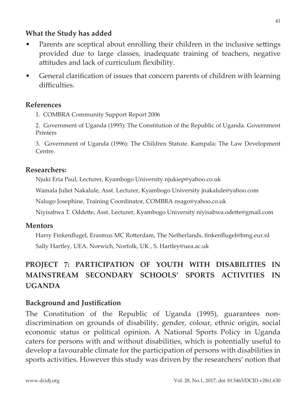### **What the Study has added**

- Parents are sceptical about enrolling their children in the inclusive settings provided due to large classes, inadequate training of teachers, negative attitudes and lack of curriculum flexibility.
- General clarification of issues that concern parents of children with learning difficulties.

### **References**

1. COMBRA Community Support Report 2006

2. Government of Uganda (1995): The Constitution of the Republic of Uganda. Government Printers

3. Government of Uganda (1996): The Children Statute. Kampala: The Law Development Centre.

### **Researchers:**

Njuki Eria Paul, Lecturer, Kyambogo University njukiep@yahoo.co.uk

Wamala Juliet Nakalule, Asst. Lecturer, Kyambogo University jnakalule@yahoo.com

Nalugo Josephine, Training Coordinator, COMBRA nsago@yahoo.co.uk

Niyisabwa T. Oddette, Asst. Lecturer, Kyambogo University niyisabwa.odette@gmail.com

### **Mentors**

Harry Finkenflugel, Erasmus MC Rotterdam, The Netherlands, finkenflugel@bmg.eur.nl Sally Hartley, UEA. Norwich, Norfolk, UK , S. Hartley@uea.ac.uk

# **PROJECT 7: PARTICIPATION OF YOUTH WITH DISABILITIES IN MAINSTREAM SECONDARY SCHOOLS' SPORTS ACTIVITIES IN UGANDA**

## **Background and Justification**

The Constitution of the Republic of Uganda (1995), guarantees nondiscrimination on grounds of disability, gender, colour, ethnic origin, social economic status or political opinion. A National Sports Policy in Uganda caters for persons with and without disabilities, which is potentially useful to develop a favourable climate for the participation of persons with disabilities in sports activities. However this study was driven by the researchers' notion that

41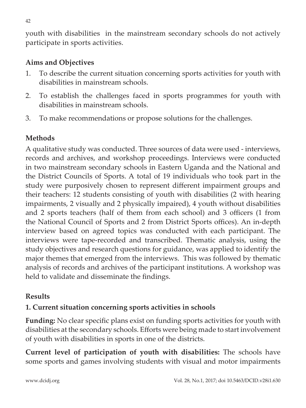youth with disabilities in the mainstream secondary schools do not actively participate in sports activities.

## **Aims and Objectives**

- 1. To describe the current situation concerning sports activities for youth with disabilities in mainstream schools.
- 2. To establish the challenges faced in sports programmes for youth with disabilities in mainstream schools.
- 3. To make recommendations or propose solutions for the challenges.

## **Methods**

A qualitative study was conducted. Three sources of data were used - interviews, records and archives, and workshop proceedings. Interviews were conducted in two mainstream secondary schools in Eastern Uganda and the National and the District Councils of Sports. A total of 19 individuals who took part in the study were purposively chosen to represent different impairment groups and their teachers: 12 students consisting of youth with disabilities (2 with hearing impairments, 2 visually and 2 physically impaired), 4 youth without disabilities and 2 sports teachers (half of them from each school) and 3 officers (1 from the National Council of Sports and 2 from District Sports offices). An in-depth interview based on agreed topics was conducted with each participant. The interviews were tape-recorded and transcribed. Thematic analysis, using the study objectives and research questions for guidance, was applied to identify the major themes that emerged from the interviews. This was followed by thematic analysis of records and archives of the participant institutions. A workshop was held to validate and disseminate the findings.

### **Results**

## **1. Current situation concerning sports activities in schools**

**Funding:** No clear specific plans exist on funding sports activities for youth with disabilities at the secondary schools. Efforts were being made to start involvement of youth with disabilities in sports in one of the districts.

**Current level of participation of youth with disabilities:** The schools have some sports and games involving students with visual and motor impairments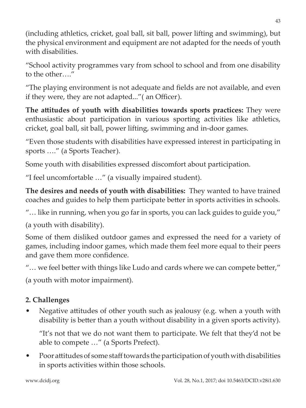(including athletics, cricket, goal ball, sit ball, power lifting and swimming), but the physical environment and equipment are not adapted for the needs of youth with disabilities.

"School activity programmes vary from school to school and from one disability to the other…."

"The playing environment is not adequate and fields are not available, and even if they were, they are not adapted..."( an Officer).

**The attitudes of youth with disabilities towards sports practices:** They were enthusiastic about participation in various sporting activities like athletics, cricket, goal ball, sit ball, power lifting, swimming and in-door games.

"Even those students with disabilities have expressed interest in participating in sports …." (a Sports Teacher).

Some youth with disabilities expressed discomfort about participation.

"I feel uncomfortable …" (a visually impaired student).

**The desires and needs of youth with disabilities:** They wanted to have trained coaches and guides to help them participate better in sports activities in schools.

"… like in running, when you go far in sports, you can lack guides to guide you,"

(a youth with disability).

Some of them disliked outdoor games and expressed the need for a variety of games, including indoor games, which made them feel more equal to their peers and gave them more confidence.

"… we feel better with things like Ludo and cards where we can compete better,"

(a youth with motor impairment).

# **2. Challenges**

• Negative attitudes of other youth such as jealousy (e.g. when a youth with disability is better than a youth without disability in a given sports activity).

"It's not that we do not want them to participate. We felt that they'd not be able to compete …" (a Sports Prefect).

• Poor attitudes of some staff towards the participation of youth with disabilities in sports activities within those schools.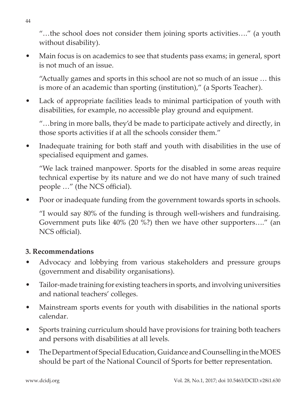"…the school does not consider them joining sports activities…." (a youth without disability).

• Main focus is on academics to see that students pass exams; in general, sport is not much of an issue.

"Actually games and sports in this school are not so much of an issue … this is more of an academic than sporting (institution)," (a Sports Teacher).

• Lack of appropriate facilities leads to minimal participation of youth with disabilities, for example, no accessible play ground and equipment.

"…bring in more balls, they'd be made to participate actively and directly, in those sports activities if at all the schools consider them."

• Inadequate training for both staff and youth with disabilities in the use of specialised equipment and games.

"We lack trained manpower. Sports for the disabled in some areas require technical expertise by its nature and we do not have many of such trained people …" (the NCS official).

• Poor or inadequate funding from the government towards sports in schools.

"I would say 80% of the funding is through well-wishers and fundraising. Government puts like 40% (20 %?) then we have other supporters…." (an NCS official).

## **3. Recommendations**

- Advocacy and lobbying from various stakeholders and pressure groups (government and disability organisations).
- Tailor-made training for existing teachers in sports, and involving universities and national teachers' colleges.
- Mainstream sports events for youth with disabilities in the national sports calendar.
- Sports training curriculum should have provisions for training both teachers and persons with disabilities at all levels.
- The Department of Special Education, Guidance and Counselling in the MOES should be part of the National Council of Sports for better representation.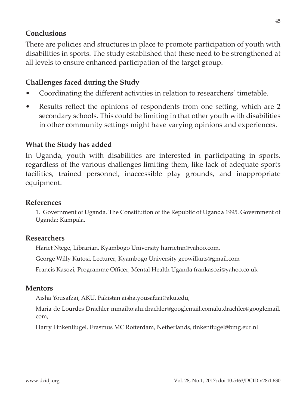### **Conclusions**

There are policies and structures in place to promote participation of youth with disabilities in sports. The study established that these need to be strengthened at all levels to ensure enhanced participation of the target group.

## **Challenges faced during the Study**

- Coordinating the different activities in relation to researchers' timetable.
- Results reflect the opinions of respondents from one setting, which are 2 secondary schools. This could be limiting in that other youth with disabilities in other community settings might have varying opinions and experiences.

## **What the Study has added**

In Uganda, youth with disabilities are interested in participating in sports, regardless of the various challenges limiting them, like lack of adequate sports facilities, trained personnel, inaccessible play grounds, and inappropriate equipment.

### **References**

1. Government of Uganda. The Constitution of the Republic of Uganda 1995. Government of Uganda: Kampala.

### **Researchers**

Hariet Ntege, Librarian, Kyambogo University harrietnn@yahoo.com,

George Willy Kutosi, Lecturer, Kyambogo University geowilkuts@gmail.com

Francis Kasozi, Programme Officer, Mental Health Uganda frankasozi@yahoo.co.uk

### **Mentors**

Aisha Yousafzai, AKU, Pakistan aisha.yousafzai@aku.edu,

Maria de Lourdes Drachler mmailto:alu.drachler@googlemail.comalu.drachler@googlemail. com,

Harry Finkenflugel, Erasmus MC Rotterdam, Netherlands, flnkenflugel@bmg.eur.nl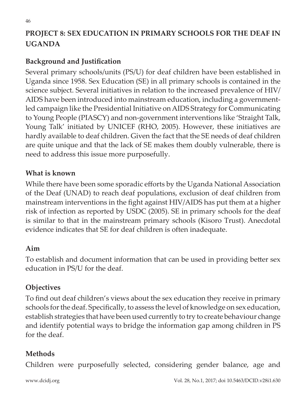# **PROJECT 8: SEX EDUCATION IN PRIMARY SCHOOLS FOR THE DEAF IN UGANDA**

## **Background and Justification**

Several primary schools/units (PS/U) for deaf children have been established in Uganda since 1958. Sex Education (SE) in all primary schools is contained in the science subject. Several initiatives in relation to the increased prevalence of HIV/ AIDS have been introduced into mainstream education, including a governmentled campaign like the Presidential Initiative on AIDS Strategy for Communicating to Young People (PIASCY) and non-government interventions like 'Straight Talk, Young Talk' initiated by UNICEF (RHO, 2005). However, these initiatives are hardly available to deaf children. Given the fact that the SE needs of deaf children are quite unique and that the lack of SE makes them doubly vulnerable, there is need to address this issue more purposefully.

### **What is known**

While there have been some sporadic efforts by the Uganda National Association of the Deaf (UNAD) to reach deaf populations, exclusion of deaf children from mainstream interventions in the fight against HIV/AIDS has put them at a higher risk of infection as reported by USDC (2005). SE in primary schools for the deaf is similar to that in the mainstream primary schools (Kisoro Trust). Anecdotal evidence indicates that SE for deaf children is often inadequate.

### **Aim**

To establish and document information that can be used in providing better sex education in PS/U for the deaf.

### **Objectives**

To find out deaf children's views about the sex education they receive in primary schools for the deaf. Specifically, to assess the level of knowledge on sex education, establish strategies that have been used currently to try to create behaviour change and identify potential ways to bridge the information gap among children in PS for the deaf.

### **Methods**

Children were purposefully selected, considering gender balance, age and

www.dcidj.org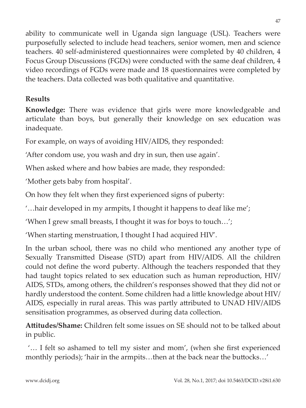ability to communicate well in Uganda sign language (USL). Teachers were purposefully selected to include head teachers, senior women, men and science teachers. 40 self-administered questionnaires were completed by 40 children, 4 Focus Group Discussions (FGDs) were conducted with the same deaf children, 4 video recordings of FGDs were made and 18 questionnaires were completed by the teachers. Data collected was both qualitative and quantitative.

# **Results**

**Knowledge:** There was evidence that girls were more knowledgeable and articulate than boys, but generally their knowledge on sex education was inadequate.

For example, on ways of avoiding HIV/AIDS, they responded:

'After condom use, you wash and dry in sun, then use again'.

When asked where and how babies are made, they responded:

'Mother gets baby from hospital'.

On how they felt when they first experienced signs of puberty:

'…hair developed in my armpits, I thought it happens to deaf like me';

'When I grew small breasts, I thought it was for boys to touch…';

'When starting menstruation, I thought I had acquired HIV'.

In the urban school, there was no child who mentioned any another type of Sexually Transmitted Disease (STD) apart from HIV/AIDS. All the children could not define the word puberty. Although the teachers responded that they had taught topics related to sex education such as human reproduction, HIV/ AIDS, STDs, among others, the children's responses showed that they did not or hardly understood the content. Some children had a little knowledge about HIV/ AIDS, especially in rural areas. This was partly attributed to UNAD HIV/AIDS sensitisation programmes, as observed during data collection.

**Attitudes/Shame:** Children felt some issues on SE should not to be talked about in public.

 '… I felt so ashamed to tell my sister and mom', (when she first experienced monthly periods); 'hair in the armpits…then at the back near the buttocks…'

47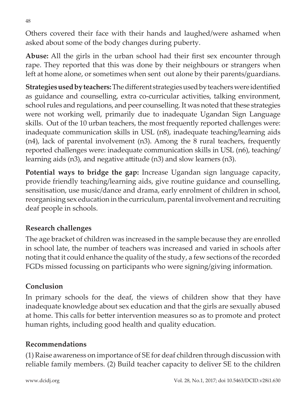Others covered their face with their hands and laughed/were ashamed when asked about some of the body changes during puberty.

**Abuse:** All the girls in the urban school had their first sex encounter through rape. They reported that this was done by their neighbours or strangers when left at home alone, or sometimes when sent out alone by their parents/guardians.

**Strategies used by teachers:** The different strategies used by teachers were identified as guidance and counselling, extra co-curricular activities, talking environment, school rules and regulations, and peer counselling. It was noted that these strategies were not working well, primarily due to inadequate Ugandan Sign Language skills. Out of the 10 urban teachers, the most frequently reported challenges were: inadequate communication skills in USL (n8), inadequate teaching/learning aids (n4), lack of parental involvement (n3). Among the 8 rural teachers, frequently reported challenges were: inadequate communication skills in USL (n6), teaching/ learning aids (n3), and negative attitude (n3) and slow learners (n3).

**Potential ways to bridge the gap:** Increase Ugandan sign language capacity, provide friendly teaching/learning aids, give routine guidance and counselling, sensitisation, use music/dance and drama, early enrolment of children in school, reorganising sex education in the curriculum, parental involvement and recruiting deaf people in schools.

## **Research challenges**

The age bracket of children was increased in the sample because they are enrolled in school late, the number of teachers was increased and varied in schools after noting that it could enhance the quality of the study, a few sections of the recorded FGDs missed focussing on participants who were signing/giving information.

## **Conclusion**

In primary schools for the deaf, the views of children show that they have inadequate knowledge about sex education and that the girls are sexually abused at home. This calls for better intervention measures so as to promote and protect human rights, including good health and quality education.

### **Recommendations**

(1) Raise awareness on importance of SE for deaf children through discussion with reliable family members. (2) Build teacher capacity to deliver SE to the children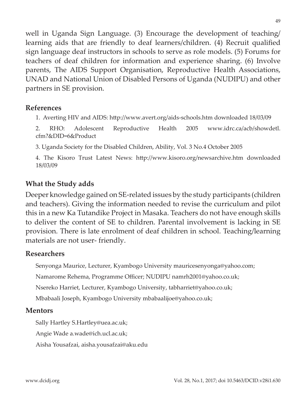well in Uganda Sign Language. (3) Encourage the development of teaching/ learning aids that are friendly to deaf learners/children. (4) Recruit qualified sign language deaf instructors in schools to serve as role models. (5) Forums for teachers of deaf children for information and experience sharing. (6) Involve parents, The AIDS Support Organisation, Reproductive Health Associations, UNAD and National Union of Disabled Persons of Uganda (NUDIPU) and other partners in SE provision.

### **References**

1. Averting HIV and AIDS: http://www.avert.org/aids-schools.htm downloaded 18/03/09

2. RHO: Adolescent Reproductive Health 2005 www.idrc.ca/acb/showdetl. cfm?&DID=6&Product

3. Uganda Society for the Disabled Children, Ability, Vol. 3 No.4 October 2005

4. The Kisoro Trust Latest News: http://www.kisoro.org/newsarchive.htm downloaded 18/03/09

### **What the Study adds**

Deeper knowledge gained on SE-related issues by the study participants (children and teachers). Giving the information needed to revise the curriculum and pilot this in a new Ka Tutandike Project in Masaka. Teachers do not have enough skills to deliver the content of SE to children. Parental involvement is lacking in SE provision. There is late enrolment of deaf children in school. Teaching/learning materials are not user- friendly.

### **Researchers**

Senyonga Maurice, Lecturer, Kyambogo University mauricesenyonga@yahoo.com;

Namarome Rehema, Programme Officer; NUDIPU namrh2001@yahoo.co.uk;

Nsereko Harriet, Lecturer, Kyambogo University, tabharriet@yahoo.co.uk;

Mbabaali Joseph, Kyambogo University mbabaalijoe@yahoo.co.uk;

### **Mentors**

Sally Hartley S.Hartley@uea.ac.uk;

Angie Wade a.wade@ich.ucl.ac.uk;

Aisha Yousafzai, aisha.yousafzai@aku.edu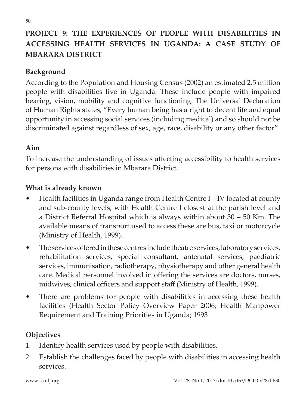# **PROJECT 9: THE EXPERIENCES OF PEOPLE WITH DISABILITIES IN ACCESSING HEALTH SERVICES IN UGANDA: A CASE STUDY OF MBARARA DISTRICT**

## **Background**

According to the Population and Housing Census (2002) an estimated 2.5 million people with disabilities live in Uganda. These include people with impaired hearing, vision, mobility and cognitive functioning. The Universal Declaration of Human Rights states, "Every human being has a right to decent life and equal opportunity in accessing social services (including medical) and so should not be discriminated against regardless of sex, age, race, disability or any other factor"

## **Aim**

To increase the understanding of issues affecting accessibility to health services for persons with disabilities in Mbarara District.

## **What is already known**

- Health facilities in Uganda range from Health Centre I IV located at county and sub-county levels, with Health Centre I closest at the parish level and a District Referral Hospital which is always within about 30 – 50 Km. The available means of transport used to access these are bus, taxi or motorcycle (Ministry of Health, 1999).
- The services offered in these centres include theatre services, laboratory services, rehabilitation services, special consultant, antenatal services, paediatric services, immunisation, radiotherapy, physiotherapy and other general health care. Medical personnel involved in offering the services are doctors, nurses, midwives, clinical officers and support staff (Ministry of Health, 1999).
- There are problems for people with disabilities in accessing these health facilities (Health Sector Policy Overview Paper 2006; Health Manpower Requirement and Training Priorities in Uganda; 1993

## **Objectives**

- 1. Identify health services used by people with disabilities.
- 2. Establish the challenges faced by people with disabilities in accessing health services.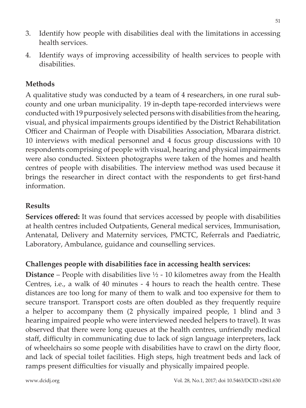- 3. Identify how people with disabilities deal with the limitations in accessing health services.
- 4. Identify ways of improving accessibility of health services to people with disabilities.

## **Methods**

A qualitative study was conducted by a team of 4 researchers, in one rural subcounty and one urban municipality. 19 in-depth tape-recorded interviews were conducted with 19 purposively selected persons with disabilities from the hearing, visual, and physical impairments groups identified by the District Rehabilitation Officer and Chairman of People with Disabilities Association, Mbarara district. 10 interviews with medical personnel and 4 focus group discussions with 10 respondents comprising of people with visual, hearing and physical impairments were also conducted. Sixteen photographs were taken of the homes and health centres of people with disabilities. The interview method was used because it brings the researcher in direct contact with the respondents to get first-hand information.

### **Results**

**Services offered:** It was found that services accessed by people with disabilities at health centres included Outpatients, General medical services, Immunisation, Antenatal, Delivery and Maternity services, PMCTC, Referrals and Paediatric, Laboratory, Ambulance, guidance and counselling services.

### **Challenges people with disabilities face in accessing health services:**

**Distance** – People with disabilities live ½ - 10 kilometres away from the Health Centres, i.e., a walk of 40 minutes - 4 hours to reach the health centre. These distances are too long for many of them to walk and too expensive for them to secure transport. Transport costs are often doubled as they frequently require a helper to accompany them (2 physically impaired people, 1 blind and 3 hearing impaired people who were interviewed needed helpers to travel). It was observed that there were long queues at the health centres, unfriendly medical staff, difficulty in communicating due to lack of sign language interpreters, lack of wheelchairs so some people with disabilities have to crawl on the dirty floor, and lack of special toilet facilities. High steps, high treatment beds and lack of ramps present difficulties for visually and physically impaired people.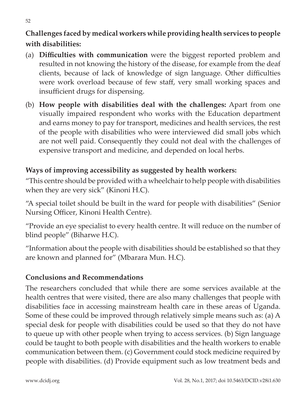# **Challenges faced by medical workers while providing health services to people with disabilities:**

- (a) **Difficulties with communication** were the biggest reported problem and resulted in not knowing the history of the disease, for example from the deaf clients, because of lack of knowledge of sign language. Other difficulties were work overload because of few staff, very small working spaces and insufficient drugs for dispensing.
- (b) **How people with disabilities deal with the challenges:** Apart from one visually impaired respondent who works with the Education department and earns money to pay for transport, medicines and health services, the rest of the people with disabilities who were interviewed did small jobs which are not well paid. Consequently they could not deal with the challenges of expensive transport and medicine, and depended on local herbs.

# **Ways of improving accessibility as suggested by health workers:**

"This centre should be provided with a wheelchair to help people with disabilities when they are very sick" (Kinoni H.C).

"A special toilet should be built in the ward for people with disabilities" (Senior Nursing Officer, Kinoni Health Centre).

"Provide an eye specialist to every health centre. It will reduce on the number of blind people" (Biharwe H.C).

"Information about the people with disabilities should be established so that they are known and planned for" (Mbarara Mun. H.C).

## **Conclusions and Recommendations**

The researchers concluded that while there are some services available at the health centres that were visited, there are also many challenges that people with disabilities face in accessing mainstream health care in these areas of Uganda. Some of these could be improved through relatively simple means such as: (a) A special desk for people with disabilities could be used so that they do not have to queue up with other people when trying to access services. (b) Sign language could be taught to both people with disabilities and the health workers to enable communication between them. (c) Government could stock medicine required by people with disabilities. (d) Provide equipment such as low treatment beds and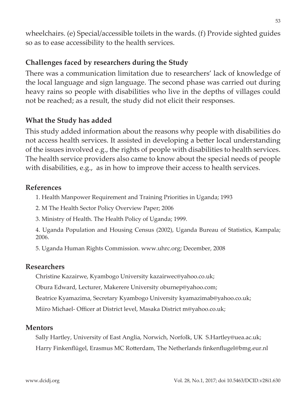wheelchairs. (e) Special/accessible toilets in the wards. (f) Provide sighted guides so as to ease accessibility to the health services.

## **Challenges faced by researchers during the Study**

There was a communication limitation due to researchers' lack of knowledge of the local language and sign language. The second phase was carried out during heavy rains so people with disabilities who live in the depths of villages could not be reached; as a result, the study did not elicit their responses.

### **What the Study has added**

This study added information about the reasons why people with disabilities do not access health services. It assisted in developing a better local understanding of the issues involved e.g., the rights of people with disabilities to health services. The health service providers also came to know about the special needs of people with disabilities, e.g., as in how to improve their access to health services.

### **References**

1. Health Manpower Requirement and Training Priorities in Uganda; 1993

2. M The Health Sector Policy Overview Paper; 2006

3. Ministry of Health. The Health Policy of Uganda; 1999.

4. Uganda Population and Housing Census (2002), Uganda Bureau of Statistics, Kampala; 2006.

5. Uganda Human Rights Commission. www.uhrc.org; December, 2008

### **Researchers**

Christine Kazairwe, Kyambogo University kazairwec@yahoo.co.uk;

Obura Edward, Lecturer, Makerere University oburnep@yahoo.com;

Beatrice Kyamazima, Secretary Kyambogo University kyamazimab@yahoo.co.uk;

Miiro Michael- Officer at District level, Masaka District m@yahoo.co.uk;

### **Mentors**

Sally Hartley, University of East Anglia, Norwich, Norfolk, UK S.Hartley@uea.ac.uk; Harry Finkenflügel, Erasmus MC Rotterdam, The Netherlands finkenflugel@bmg.eur.nl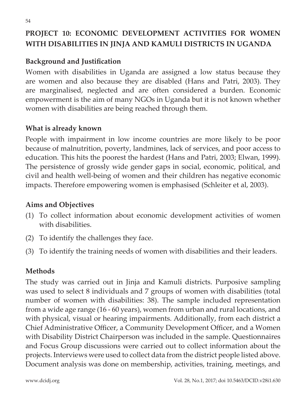# **PROJECT 10: ECONOMIC DEVELOPMENT ACTIVITIES FOR WOMEN WITH DISABILITIES IN JINJA AND KAMULI DISTRICTS IN UGANDA**

## **Background and Justification**

Women with disabilities in Uganda are assigned a low status because they are women and also because they are disabled (Hans and Patri, 2003). They are marginalised, neglected and are often considered a burden. Economic empowerment is the aim of many NGOs in Uganda but it is not known whether women with disabilities are being reached through them.

### **What is already known**

People with impairment in low income countries are more likely to be poor because of malnutrition, poverty, landmines, lack of services, and poor access to education. This hits the poorest the hardest (Hans and Patri, 2003; Elwan, 1999). The persistence of grossly wide gender gaps in social, economic, political, and civil and health well-being of women and their children has negative economic impacts. Therefore empowering women is emphasised (Schleiter et al, 2003).

## **Aims and Objectives**

- (1) To collect information about economic development activities of women with disabilities.
- (2) To identify the challenges they face.
- (3) To identify the training needs of women with disabilities and their leaders.

## **Methods**

The study was carried out in Jinja and Kamuli districts. Purposive sampling was used to select 8 individuals and 7 groups of women with disabilities (total number of women with disabilities: 38). The sample included representation from a wide age range (16 - 60 years), women from urban and rural locations, and with physical, visual or hearing impairments. Additionally, from each district a Chief Administrative Officer, a Community Development Officer, and a Women with Disability District Chairperson was included in the sample. Questionnaires and Focus Group discussions were carried out to collect information about the projects. Interviews were used to collect data from the district people listed above. Document analysis was done on membership, activities, training, meetings, and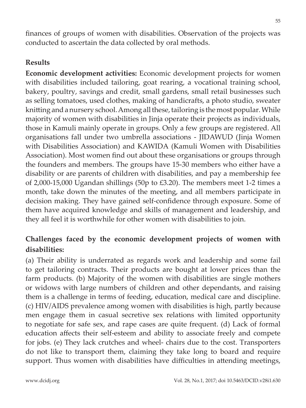finances of groups of women with disabilities. Observation of the projects was conducted to ascertain the data collected by oral methods.

## **Results**

**Economic development activities:** Economic development projects for women with disabilities included tailoring, goat rearing, a vocational training school, bakery, poultry, savings and credit, small gardens, small retail businesses such as selling tomatoes, used clothes, making of handicrafts, a photo studio, sweater knitting and a nursery school. Among all these, tailoring is the most popular. While majority of women with disabilities in Jinja operate their projects as individuals, those in Kamuli mainly operate in groups. Only a few groups are registered. All organisations fall under two umbrella associations - JIDAWUD (Jinja Women with Disabilities Association) and KAWIDA (Kamuli Women with Disabilities Association). Most women find out about these organisations or groups through the founders and members. The groups have 15-30 members who either have a disability or are parents of children with disabilities, and pay a membership fee of 2,000-15,000 Ugandan shillings (50p to £3.20). The members meet 1-2 times a month, take down the minutes of the meeting, and all members participate in decision making. They have gained self-confidence through exposure. Some of them have acquired knowledge and skills of management and leadership, and they all feel it is worthwhile for other women with disabilities to join.

# **Challenges faced by the economic development projects of women with disabilities:**

(a) Their ability is underrated as regards work and leadership and some fail to get tailoring contracts. Their products are bought at lower prices than the farm products. (b) Majority of the women with disabilities are single mothers or widows with large numbers of children and other dependants, and raising them is a challenge in terms of feeding, education, medical care and discipline. (c) HIV/AIDS prevalence among women with disabilities is high, partly because men engage them in casual secretive sex relations with limited opportunity to negotiate for safe sex, and rape cases are quite frequent. (d) Lack of formal education affects their self-esteem and ability to associate freely and compete for jobs. (e) They lack crutches and wheel- chairs due to the cost. Transporters do not like to transport them, claiming they take long to board and require support. Thus women with disabilities have difficulties in attending meetings,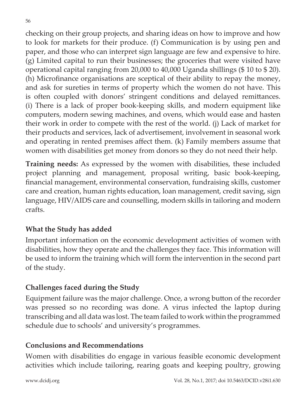checking on their group projects, and sharing ideas on how to improve and how to look for markets for their produce. (f) Communication is by using pen and paper, and those who can interpret sign language are few and expensive to hire. (g) Limited capital to run their businesses; the groceries that were visited have operational capital ranging from 20,000 to 40,000 Uganda shillings (\$ 10 to \$ 20). (h) Microfinance organisations are sceptical of their ability to repay the money, and ask for sureties in terms of property which the women do not have. This is often coupled with donors' stringent conditions and delayed remittances. (i) There is a lack of proper book-keeping skills, and modern equipment like computers, modern sewing machines, and ovens, which would ease and hasten their work in order to compete with the rest of the world. (j) Lack of market for their products and services, lack of advertisement, involvement in seasonal work and operating in rented premises affect them. (k) Family members assume that women with disabilities get money from donors so they do not need their help.

**Training needs:** As expressed by the women with disabilities, these included project planning and management, proposal writing, basic book-keeping, financial management, environmental conservation, fundraising skills, customer care and creation, human rights education, loan management, credit saving, sign language, HIV/AIDS care and counselling, modern skills in tailoring and modern crafts.

## **What the Study has added**

Important information on the economic development activities of women with disabilities, how they operate and the challenges they face. This information will be used to inform the training which will form the intervention in the second part of the study.

# **Challenges faced during the Study**

Equipment failure was the major challenge. Once, a wrong button of the recorder was pressed so no recording was done. A virus infected the laptop during transcribing and all data was lost. The team failed to work within the programmed schedule due to schools' and university's programmes.

## **Conclusions and Recommendations**

Women with disabilities do engage in various feasible economic development activities which include tailoring, rearing goats and keeping poultry, growing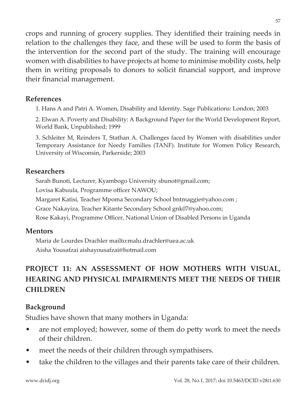crops and running of grocery supplies. They identified their training needs in relation to the challenges they face, and these will be used to form the basis of the intervention for the second part of the study. The training will encourage women with disabilities to have projects at home to minimise mobility costs, help them in writing proposals to donors to solicit financial support, and improve their financial management.

### **References**

1. Hans A and Patri A. Women, Disability and Identity. Sage Publications: London; 2003

2. Elwan A. Poverty and Disability: A Background Paper for the World Development Report, World Bank, Unpublished; 1999

3. Schleiter M, Reinders T, Stathan A. Challenges faced by Women with disabilities under Temporary Assistance for Needy Families (TANF). Institute for Women Policy Research, University of Wisconsin, Parkerside; 2003

### **Researchers**

Sarah Bunoti, Lecturer, Kyambogo University sbunot@gmail.com;

Lovisa Kabuula, Programme officer NAWOU;

Margaret Katisi, Teacher Mpoma Secondary School bntmaggie@yahoo.com ;

Grace Nakayiza, Teacher Kitante Secondary School gnk07@yahoo.com;

Rose Kakayi, Programme Officer, National Union of Disabled Persons in Uganda

### **Mentors**

Maria de Lourdes Drachler mailto:malu.drachler@uea.ac.uk Aisha Yousafzai aishayousafzai@hotmail.com

# **PROJECT 11: AN ASSESSMENT OF HOW MOTHERS WITH VISUAL, HEARING AND PHYSICAL IMPAIRMENTS MEET THE NEEDS OF THEIR CHILDREN**

## **Background**

Studies have shown that many mothers in Uganda:

- are not employed; however, some of them do petty work to meet the needs of their children.
- meet the needs of their children through sympathisers.
- take the children to the villages and their parents take care of their children.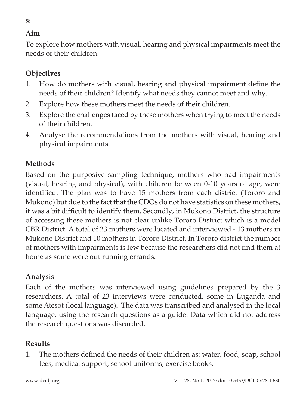## **Aim**

To explore how mothers with visual, hearing and physical impairments meet the needs of their children.

## **Objectives**

- 1. How do mothers with visual, hearing and physical impairment define the needs of their children? Identify what needs they cannot meet and why.
- 2. Explore how these mothers meet the needs of their children.
- 3. Explore the challenges faced by these mothers when trying to meet the needs of their children.
- 4. Analyse the recommendations from the mothers with visual, hearing and physical impairments.

# **Methods**

Based on the purposive sampling technique, mothers who had impairments (visual, hearing and physical), with children between 0-10 years of age, were identified. The plan was to have 15 mothers from each district (Tororo and Mukono) but due to the fact that the CDOs do not have statistics on these mothers, it was a bit difficult to identify them. Secondly, in Mukono District, the structure of accessing these mothers is not clear unlike Tororo District which is a model CBR District. A total of 23 mothers were located and interviewed - 13 mothers in Mukono District and 10 mothers in Tororo District. In Tororo district the number of mothers with impairments is few because the researchers did not find them at home as some were out running errands.

# **Analysis**

Each of the mothers was interviewed using guidelines prepared by the 3 researchers. A total of 23 interviews were conducted, some in Luganda and some Atesot (local language). The data was transcribed and analysed in the local language, using the research questions as a guide. Data which did not address the research questions was discarded.

# **Results**

1. The mothers defined the needs of their children as: water, food, soap, school fees, medical support, school uniforms, exercise books.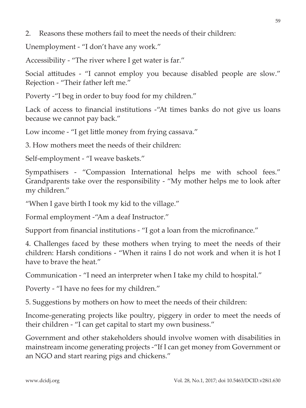2. Reasons these mothers fail to meet the needs of their children:

Unemployment - "I don't have any work."

Accessibility - "The river where I get water is far."

Social attitudes - "I cannot employ you because disabled people are slow." Rejection - "Their father left me."

Poverty -"I beg in order to buy food for my children."

Lack of access to financial institutions -"At times banks do not give us loans because we cannot pay back."

Low income - "I get little money from frying cassava."

3. How mothers meet the needs of their children:

Self-employment - "I weave baskets."

Sympathisers - "Compassion International helps me with school fees." Grandparents take over the responsibility - "My mother helps me to look after my children."

"When I gave birth I took my kid to the village."

Formal employment -"Am a deaf Instructor."

Support from financial institutions - "I got a loan from the microfinance."

4. Challenges faced by these mothers when trying to meet the needs of their children: Harsh conditions - "When it rains I do not work and when it is hot I have to brave the heat."

Communication - "I need an interpreter when I take my child to hospital."

Poverty - "I have no fees for my children."

5. Suggestions by mothers on how to meet the needs of their children:

Income-generating projects like poultry, piggery in order to meet the needs of their children - "I can get capital to start my own business."

Government and other stakeholders should involve women with disabilities in mainstream income generating projects -"If I can get money from Government or an NGO and start rearing pigs and chickens."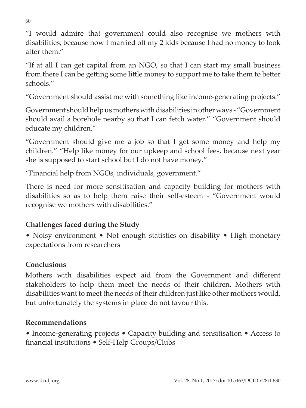"I would admire that government could also recognise we mothers with disabilities, because now I married off my 2 kids because I had no money to look after them."

"If at all I can get capital from an NGO, so that I can start my small business from there I can be getting some little money to support me to take them to better schools."

"Government should assist me with something like income-generating projects."

Government should help us mothers with disabilities in other ways - "Government should avail a borehole nearby so that I can fetch water." "Government should educate my children."

"Government should give me a job so that I get some money and help my children." "Help like money for our upkeep and school fees, because next year she is supposed to start school but I do not have money."

"Financial help from NGOs, individuals, government."

There is need for more sensitisation and capacity building for mothers with disabilities so as to help them raise their self-esteem - "Government would recognise we mothers with disabilities."

# **Challenges faced during the Study**

• Noisy environment • Not enough statistics on disability • High monetary expectations from researchers

# **Conclusions**

Mothers with disabilities expect aid from the Government and different stakeholders to help them meet the needs of their children. Mothers with disabilities want to meet the needs of their children just like other mothers would, but unfortunately the systems in place do not favour this.

# **Recommendations**

• Income-generating projects • Capacity building and sensitisation • Access to financial institutions • Self-Help Groups/Clubs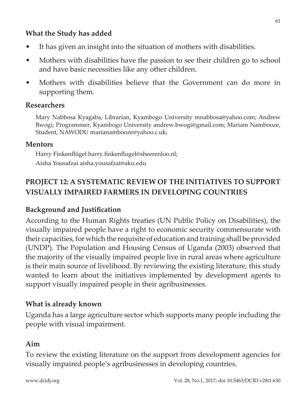### **What the Study has added**

- It has given an insight into the situation of mothers with disabilities.
- Mothers with disabilities have the passion to see their children go to school and have basic necessities like any other children.
- Mothers with disabilities believe that the Government can do more in supporting them.

### **Researchers**

Mary Nabbosa Kyagaba, Librarian, Kyambogo University mnabbosa@yahoo.com; Andrew Bwogi, Programmer, Kyambogo University andrew.bwogi@gmail.com; Mariam Nambooze, Student, NAWODU marianambooze@yahoo.c.uk;

### **Mentors**

Harry Finkenflügel harry.finkenflugel@sheerenloo.nl; Aisha Yousafzai aisha.yousafzai@aku.edu

# **PROJECT 12: A SYSTEMATIC REVIEW OF THE INITIATIVES TO SUPPORT VISUALLY IMPAIRED FARMERS IN DEVELOPING COUNTRIES**

## **Background and Justification**

According to the Human Rights treaties (UN Public Policy on Disabilities), the visually impaired people have a right to economic security commensurate with their capacities, for which the requisite of education and training shall be provided (UNDP). The Population and Housing Census of Uganda (2003) observed that the majority of the visually impaired people live in rural areas where agriculture is their main source of livelihood. By reviewing the existing literature, this study wanted to learn about the initiatives implemented by development agents to support visually impaired people in their agribusinesses.

### **What is already known**

Uganda has a large agriculture sector which supports many people including the people with visual impairment.

### **Aim**

To review the existing literature on the support from development agencies for visually impaired people's agribusinesses in developing countries.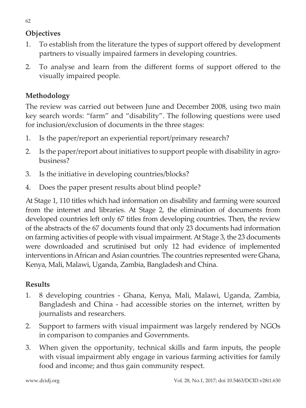# **Objectives**

- 1. To establish from the literature the types of support offered by development partners to visually impaired farmers in developing countries.
- 2. To analyse and learn from the different forms of support offered to the visually impaired people.

# **Methodology**

The review was carried out between June and December 2008, using two main key search words: "farm" and "disability". The following questions were used for inclusion/exclusion of documents in the three stages:

- 1. Is the paper/report an experiential report/primary research?
- 2. Is the paper/report about initiatives to support people with disability in agrobusiness?
- 3. Is the initiative in developing countries/blocks?
- 4. Does the paper present results about blind people?

At Stage 1, 110 titles which had information on disability and farming were sourced from the internet and libraries. At Stage 2, the elimination of documents from developed countries left only 67 titles from developing countries. Then, the review of the abstracts of the 67 documents found that only 23 documents had information on farming activities of people with visual impairment. At Stage 3, the 23 documents were downloaded and scrutinised but only 12 had evidence of implemented interventions in African and Asian countries. The countries represented were Ghana, Kenya, Mali, Malawi, Uganda, Zambia, Bangladesh and China.

# **Results**

- 1. 8 developing countries Ghana, Kenya, Mali, Malawi, Uganda, Zambia, Bangladesh and China - had accessible stories on the internet, written by journalists and researchers.
- 2. Support to farmers with visual impairment was largely rendered by NGOs in comparison to companies and Governments.
- 3. When given the opportunity, technical skills and farm inputs, the people with visual impairment ably engage in various farming activities for family food and income; and thus gain community respect.

www.dcidj.org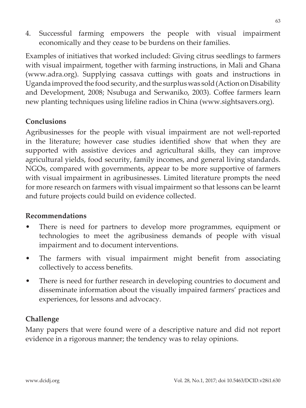4. Successful farming empowers the people with visual impairment economically and they cease to be burdens on their families.

Examples of initiatives that worked included: Giving citrus seedlings to farmers with visual impairment, together with farming instructions, in Mali and Ghana (www.adra.org). Supplying cassava cuttings with goats and instructions in Uganda improved the food security, and the surplus was sold (Action on Disability and Development, 2008; Nsubuga and Serwaniko, 2003). Coffee farmers learn new planting techniques using lifeline radios in China (www.sightsavers.org).

### **Conclusions**

Agribusinesses for the people with visual impairment are not well-reported in the literature; however case studies identified show that when they are supported with assistive devices and agricultural skills, they can improve agricultural yields, food security, family incomes, and general living standards. NGOs, compared with governments, appear to be more supportive of farmers with visual impairment in agribusinesses. Limited literature prompts the need for more research on farmers with visual impairment so that lessons can be learnt and future projects could build on evidence collected.

### **Recommendations**

- There is need for partners to develop more programmes, equipment or technologies to meet the agribusiness demands of people with visual impairment and to document interventions.
- The farmers with visual impairment might benefit from associating collectively to access benefits.
- There is need for further research in developing countries to document and disseminate information about the visually impaired farmers' practices and experiences, for lessons and advocacy.

## **Challenge**

Many papers that were found were of a descriptive nature and did not report evidence in a rigorous manner; the tendency was to relay opinions.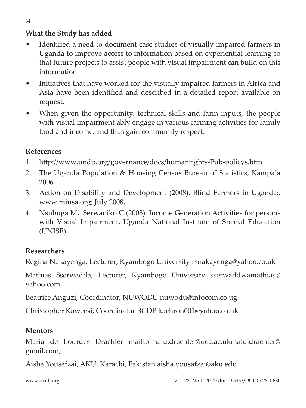# **What the Study has added**

- Identified a need to document case studies of visually impaired farmers in Uganda to improve access to information based on experiential learning so that future projects to assist people with visual impairment can build on this information.
- Initiatives that have worked for the visually impaired farmers in Africa and Asia have been identified and described in a detailed report available on request.
- When given the opportunity, technical skills and farm inputs, the people with visual impairment ably engage in various farming activities for family food and income; and thus gain community respect.

# **References**

- 1. http://www.undp.org/governance/docs/humanrights-Pub-policys.htm
- 2. The Uganda Population & Housing Census Bureau of Statistics, Kampala 2006
- 3. Action on Disability and Development (2008). Blind Farmers in Uganda:. www.miusa.org; July 2008.
- 4. Nsubuga M, Serwaniko C (2003). Income Generation Activities for persons with Visual Impairment, Uganda National Institute of Special Education (UNISE).

# **Researchers**

Regina Nakayenga, Lecturer, Kyambogo University rsnakayenga@yahoo.co.uk

Mathias Sserwadda, Lecturer, Kyambogo University sserwaddwamathias@ yahoo.com

Beatrice Anguzi, Coordinator, NUWODU nuwodu@infocom.co.ug

Christopher Kaweesi, Coordinator BCDP kachron001@yahoo.co.uk

# **Mentors**

Maria de Lourdes Drachler mailto:malu.drachler@uea.ac.ukmalu.drachler@ gmail.com;

Aisha Yousafzai, AKU, Karachi, Pakistan aisha.yousafzai@aku.edu

www.dcidj.org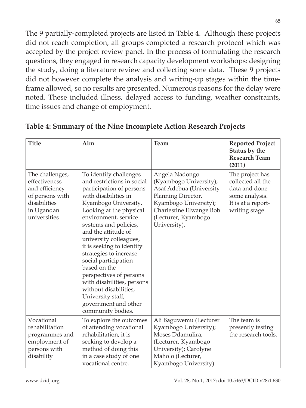The 9 partially-completed projects are listed in Table 4. Although these projects did not reach completion, all groups completed a research protocol which was accepted by the project review panel. In the process of formulating the research questions, they engaged in research capacity development workshops: designing the study, doing a literature review and collecting some data. These 9 projects did not however complete the analysis and writing-up stages within the timeframe allowed, so no results are presented. Numerous reasons for the delay were noted. These included illness, delayed access to funding, weather constraints, time issues and change of employment.

| <b>Title</b>                                                                                                        | Aim                                                                                                                                                                                                                                                                                                                                                                                                                                                                                                              | <b>Team</b>                                                                                                                                                                          | <b>Reported Project</b><br>Status by the<br><b>Research Team</b><br>(2011)                                      |
|---------------------------------------------------------------------------------------------------------------------|------------------------------------------------------------------------------------------------------------------------------------------------------------------------------------------------------------------------------------------------------------------------------------------------------------------------------------------------------------------------------------------------------------------------------------------------------------------------------------------------------------------|--------------------------------------------------------------------------------------------------------------------------------------------------------------------------------------|-----------------------------------------------------------------------------------------------------------------|
| The challenges,<br>effectiveness<br>and efficiency<br>of persons with<br>disabilities<br>in Ugandan<br>universities | To identify challenges<br>and restrictions in social<br>participation of persons<br>with disabilities in<br>Kyambogo University.<br>Looking at the physical<br>environment, service<br>systems and policies,<br>and the attitude of<br>university colleagues,<br>it is seeking to identify<br>strategies to increase<br>social participation<br>based on the<br>perspectives of persons<br>with disabilities, persons<br>without disabilities,<br>University staff,<br>government and other<br>community bodies. | Angela Nadongo<br>(Kyambogo University);<br>Asaf Adebua (University<br>Planning Director,<br>Kyambogo University);<br>Charlestine Elwange Bob<br>(Lecturer, Kyambogo<br>University). | The project has<br>collected all the<br>data and done<br>some analysis.<br>It is at a report-<br>writing stage. |
| Vocational<br>rehabilitation<br>programmes and<br>employment of<br>persons with<br>disability                       | To explore the outcomes<br>of attending vocational<br>rehabilitation, it is<br>seeking to develop a<br>method of doing this<br>in a case study of one<br>vocational centre.                                                                                                                                                                                                                                                                                                                                      | Ali Baguwemu (Lecturer<br>Kyambogo University);<br>Moses Ddamulira,<br>(Lecturer, Kyambogo<br>University); Carolyne<br>Maholo (Lecturer,<br>Kyambogo University)                     | The team is<br>presently testing<br>the research tools.                                                         |

**Table 4: Summary of the Nine Incomplete Action Research Projects**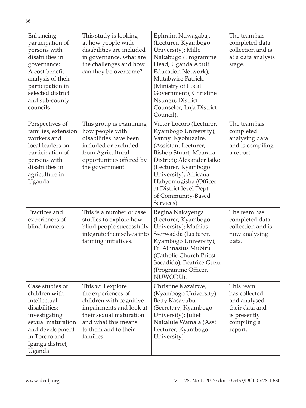| Enhancing<br>participation of<br>persons with<br>disabilities in<br>governance:<br>A cost benefit<br>analysis of their<br>participation in<br>selected district<br>and sub-county<br>councils | This study is looking<br>at how people with<br>disabilities are included<br>in governance, what are<br>the challenges and how<br>can they be overcome?                               | Ephraim Nuwagaba,,<br>(Lecturer, Kyambogo<br>University); Mille<br>Nakabugo (Programme<br>Head, Uganda Adult<br>Education Network);<br>Mutabwire Patrick,<br>(Ministry of Local<br>Government); Christine<br>Nsungu, District<br>Counselor, Jinja District<br>Council).                        | The team has<br>completed data<br>collection and is<br>at a data analysis<br>stage.                    |
|-----------------------------------------------------------------------------------------------------------------------------------------------------------------------------------------------|--------------------------------------------------------------------------------------------------------------------------------------------------------------------------------------|------------------------------------------------------------------------------------------------------------------------------------------------------------------------------------------------------------------------------------------------------------------------------------------------|--------------------------------------------------------------------------------------------------------|
| Perspectives of<br>families, extension<br>workers and<br>local leaders on<br>participation of<br>persons with<br>disabilities in<br>agriculture in<br>Uganda                                  | This group is examining<br>how people with<br>disabilities have been<br>included or excluded<br>from Agricultural<br>opportunities offered by<br>the government.                     | Victor Locoro (Lecturer,<br>Kyambogo University);<br>Vanny Kyobuzaire,<br>(Assistant Lecturer,<br>Bishop Stuart, Mbarara<br>District); Alexander Isiko<br>(Lecturer, Kyambogo<br>University); Africana<br>Habyomugisha (Officer<br>at District level Dept.<br>of Community-Based<br>Services). | The team has<br>completed<br>analysing data<br>and is compiling<br>a report.                           |
| Practices and<br>experiences of<br>blind farmers                                                                                                                                              | This is a number of case<br>studies to explore how<br>blind people successfully<br>integrate themselves into<br>farming initiatives.                                                 | Regina Nakayenga<br>(Lecturer, Kyambogo<br>University); Mathias<br>Sserwadda (Lecturer,<br>Kyambogo University);<br>Fr. Athnasius Mubiru<br>(Catholic Church Priest)<br>Socadido); Beatrice Guzu<br>(Programme Officer,<br>NUWODU).                                                            | The team has<br>completed data<br>collection and is<br>now analysing<br>data.                          |
| Case studies of<br>children with<br>intellectual<br>disabilities:<br>investigating<br>sexual maturation<br>and development<br>in Tororo and<br>Iganga district,<br>Uganda:                    | This will explore<br>the experiences of<br>children with cognitive<br>impairments and look at<br>their sexual maturation<br>and what this means<br>to them and to their<br>families. | Christine Kazairwe,<br>(Kyambogo University);<br>Betty Kasavubu<br>(Secretary, Kyambogo<br>University); Juliet<br>Nakalule Wamala (Asst<br>Lecturer, Kyambogo<br>University)                                                                                                                   | This team<br>has collected<br>and analysed<br>their data and<br>is presently<br>compiling a<br>report. |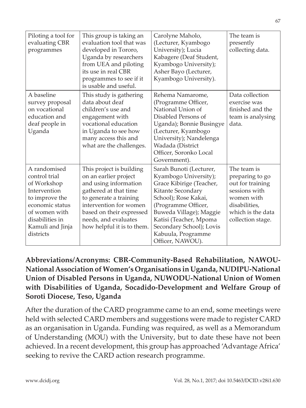| Piloting a tool for<br>evaluating CBR<br>programmes                                                                                                                    | This group is taking an<br>evaluation tool that was<br>developed in Tororo,<br>Uganda by researchers<br>from UEA and piloting<br>its use in real CBR<br>programmes to see if it<br>is usable and useful.                                  | Carolyne Maholo,<br>(Lecturer, Kyambogo<br>University); Lucia<br>Kabagere (Deaf Student,<br>Kyambogo University);<br>Asher Bayo (Lecturer,<br>Kyambogo University).                                                                                                         | The team is<br>presently<br>collecting data.                                                                                                 |
|------------------------------------------------------------------------------------------------------------------------------------------------------------------------|-------------------------------------------------------------------------------------------------------------------------------------------------------------------------------------------------------------------------------------------|-----------------------------------------------------------------------------------------------------------------------------------------------------------------------------------------------------------------------------------------------------------------------------|----------------------------------------------------------------------------------------------------------------------------------------------|
| A baseline<br>survey proposal<br>on vocational<br>education and<br>deaf people in<br>Uganda                                                                            | This study is gathering<br>data about deaf<br>children's use and<br>engagement with<br>vocational education<br>in Uganda to see how<br>many access this and<br>what are the challenges.                                                   | Rehema Namarome,<br>(Programme Officer,<br>National Union of<br>Disabled Persons of<br>Uganda); Bonnie Busingye<br>(Lecturer, Kyambogo<br>University); Nandelenga<br>Wadada (District<br>Officer, Soronko Local<br>Government).                                             | Data collection<br>exercise was<br>finished and the<br>team is analysing<br>data.                                                            |
| A randomised<br>control trial<br>of Workshop<br>Intervention<br>to improve the<br>economic status<br>of women with<br>disabilities in<br>Kamuli and Jinja<br>districts | This project is building<br>on an earlier project<br>and using information<br>gathered at that time<br>to generate a training<br>intervention for women<br>based on their expressed<br>needs, and evaluates<br>how helpful it is to them. | Sarah Bunoti (Lecturer,<br>Kyambogo University);<br>Grace Kibirige (Teacher,<br>Kitante Secondary<br>School); Rose Kakai,<br>(Programme Officer,<br>Buweda Village); Maggie<br>Katisi (Teacher, Mpoma<br>Secondary School); Lovis<br>Kabuula, Programme<br>Officer, NAWOU). | The team is<br>preparing to go<br>out for training<br>sessions with<br>women with<br>disabilities,<br>which is the data<br>collection stage. |

**Abbreviations/Acronyms: CBR-Community-Based Rehabilitation, NAWOU-National Association of Women's Organisations in Uganda, NUDIPU-National Union of Disabled Persons in Uganda, NUWODU-National Union of Women with Disabilities of Uganda, Socadido-Development and Welfare Group of Soroti Diocese, Teso, Uganda**

After the duration of the CARD programme came to an end, some meetings were held with selected CARD members and suggestions were made to register CARD as an organisation in Uganda. Funding was required, as well as a Memorandum of Understanding (MOU) with the University, but to date these have not been achieved. In a recent development, this group has approached 'Advantage Africa' seeking to revive the CARD action research programme.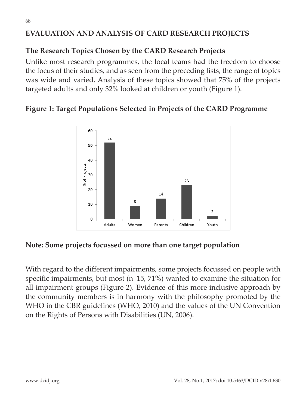# **EVALUATION AND ANALYSIS OF CARD RESEARCH PROJECTS**

## **The Research Topics Chosen by the CARD Research Projects**

Unlike most research programmes, the local teams had the freedom to choose the focus of their studies, and as seen from the preceding lists, the range of topics was wide and varied. Analysis of these topics showed that 75% of the projects targeted adults and only 32% looked at children or youth (Figure 1).

### **Figure 1: Target Populations Selected in Projects of the CARD Programme**



### **Note: Some projects focussed on more than one target population**

With regard to the different impairments, some projects focussed on people with specific impairments, but most (n=15, 71%) wanted to examine the situation for all impairment groups (Figure 2). Evidence of this more inclusive approach by the community members is in harmony with the philosophy promoted by the WHO in the CBR guidelines (WHO, 2010) and the values of the UN Convention on the Rights of Persons with Disabilities (UN, 2006).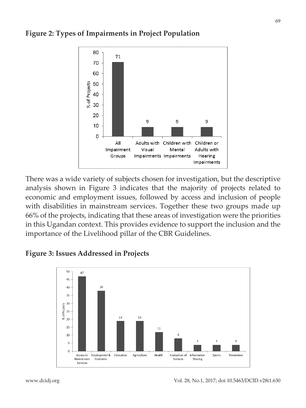

### **Figure 2: Types of Impairments in Project Population**

There was a wide variety of subjects chosen for investigation, but the descriptive analysis shown in Figure 3 indicates that the majority of projects related to economic and employment issues, followed by access and inclusion of people with disabilities in mainstream services. Together these two groups made up 66% of the projects, indicating that these areas of investigation were the priorities in this Ugandan context. This provides evidence to support the inclusion and the importance of the Livelihood pillar of the CBR Guidelines.

### **Figure 3: Issues Addressed in Projects**

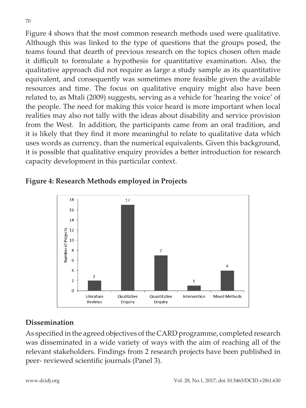Figure 4 shows that the most common research methods used were qualitative. Although this was linked to the type of questions that the groups posed, the teams found that dearth of previous research on the topics chosen often made it difficult to formulate a hypothesis for quantitative examination. Also, the qualitative approach did not require as large a study sample as its quantitative equivalent, and consequently was sometimes more feasible given the available resources and time. The focus on qualitative enquiry might also have been related to, as Mtali (2009) suggests, serving as a vehicle for 'hearing the voice' of the people. The need for making this voice heard is more important when local realities may also not tally with the ideas about disability and service provision from the West. In addition, the participants came from an oral tradition, and it is likely that they find it more meaningful to relate to qualitative data which uses words as currency, than the numerical equivalents. Given this background, it is possible that qualitative enquiry provides a better introduction for research capacity development in this particular context.





## **Dissemination**

As specified in the agreed objectives of the CARD programme, completed research was disseminated in a wide variety of ways with the aim of reaching all of the relevant stakeholders. Findings from 2 research projects have been published in peer- reviewed scientific journals (Panel 3).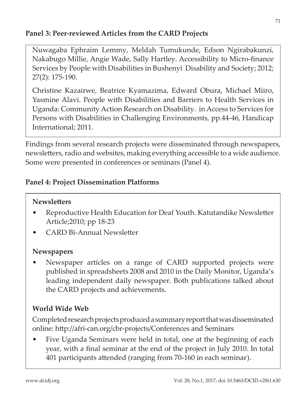# **Panel 3: Peer-reviewed Articles from the CARD Projects**

Nuwagaba Ephraim Lemmy, Meldah Tumukunde, Edson Ngirabakunzi, Nakabugo Millie, Angie Wade, Sally Hartley. Accessibility to Micro-finance Services by People with Disabilities in Bushenyi Disability and Society; 2012; 27(2): 175-190.

Christine Kazairwe, Beatrice Kyamazima, Edward Obura, Michael Miiro, Yasmine Alavi. People with Disabilities and Barriers to Health Services in Uganda: Community Action Research on Disability. in Access to Services for Persons with Disabilities in Challenging Environments, pp.44-46, Handicap International; 2011.

Findings from several research projects were disseminated through newspapers, newsletters, radio and websites, making everything accessible to a wide audience. Some were presented in conferences or seminars (Panel 4).

# **Panel 4: Project Dissemination Platforms**

# **Newsletters**

- Reproductive Health Education for Deaf Youth. Katutandike Newsletter Article;2010; pp 18-23
- CARD Bi-Annual Newsletter

# **Newspapers**

Newspaper articles on a range of CARD supported projects were published in spreadsheets 2008 and 2010 in the Daily Monitor, Uganda's leading independent daily newspaper. Both publications talked about the CARD projects and achievements.

# **World Wide Web**

Completed research projects produced a summary report that was disseminated online: http://afri-can.org/cbr-projects/Conferences and Seminars

• Five Uganda Seminars were held in total, one at the beginning of each year, with a final seminar at the end of the project in July 2010. In total 401 participants attended (ranging from 70-160 in each seminar).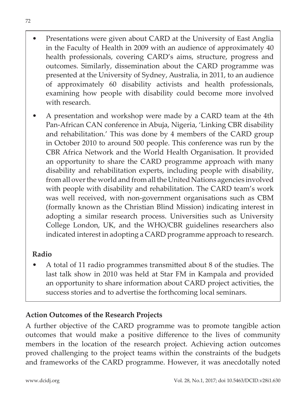- Presentations were given about CARD at the University of East Anglia in the Faculty of Health in 2009 with an audience of approximately 40 health professionals, covering CARD's aims, structure, progress and outcomes. Similarly, dissemination about the CARD programme was presented at the University of Sydney, Australia, in 2011, to an audience of approximately 60 disability activists and health professionals, examining how people with disability could become more involved with research.
- A presentation and workshop were made by a CARD team at the 4th Pan-African CAN conference in Abuja, Nigeria, 'Linking CBR disability and rehabilitation.' This was done by 4 members of the CARD group in October 2010 to around 500 people. This conference was run by the CBR Africa Network and the World Health Organisation. It provided an opportunity to share the CARD programme approach with many disability and rehabilitation experts, including people with disability, from all over the world and from all the United Nations agencies involved with people with disability and rehabilitation. The CARD team's work was well received, with non-government organisations such as CBM (formally known as the Christian Blind Mission) indicating interest in adopting a similar research process. Universities such as University College London, UK, and the WHO/CBR guidelines researchers also indicated interest in adopting a CARD programme approach to research.

## **Radio**

• A total of 11 radio programmes transmitted about 8 of the studies. The last talk show in 2010 was held at Star FM in Kampala and provided an opportunity to share information about CARD project activities, the success stories and to advertise the forthcoming local seminars.

## **Action Outcomes of the Research Projects**

A further objective of the CARD programme was to promote tangible action outcomes that would make a positive difference to the lives of community members in the location of the research project. Achieving action outcomes proved challenging to the project teams within the constraints of the budgets and frameworks of the CARD programme. However, it was anecdotally noted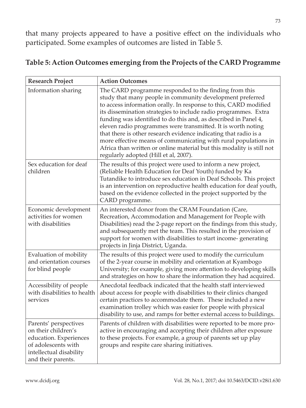that many projects appeared to have a positive effect on the individuals who participated. Some examples of outcomes are listed in Table 5.

| <b>Research Project</b>                                                                                                                        | <b>Action Outcomes</b>                                                                                                                                                                                                                                                                                                                                                                                                                                                                                                                                                                                                                                |
|------------------------------------------------------------------------------------------------------------------------------------------------|-------------------------------------------------------------------------------------------------------------------------------------------------------------------------------------------------------------------------------------------------------------------------------------------------------------------------------------------------------------------------------------------------------------------------------------------------------------------------------------------------------------------------------------------------------------------------------------------------------------------------------------------------------|
| Information sharing                                                                                                                            | The CARD programme responded to the finding from this<br>study that many people in community development preferred<br>to access information orally. In response to this, CARD modified<br>its dissemination strategies to include radio programmes. Extra<br>funding was identified to do this and, as described in Panel 4,<br>eleven radio programmes were transmitted. It is worth noting<br>that there is other research evidence indicating that radio is a<br>more effective means of communicating with rural populations in<br>Africa than written or online material but this modality is still not<br>regularly adopted (Hill et al, 2007). |
| Sex education for deaf<br>children                                                                                                             | The results of this project were used to inform a new project,<br>(Reliable Health Education for Deaf Youth) funded by Ka<br>Tutandike to introduce sex education in Deaf Schools. This project<br>is an intervention on reproductive health education for deaf youth,<br>based on the evidence collected in the project supported by the<br>CARD programme.                                                                                                                                                                                                                                                                                          |
| Economic development<br>activities for women<br>with disabilities                                                                              | An interested donor from the CRAM Foundation (Care,<br>Recreation, Accommodation and Management for People with<br>Disabilities) read the 2-page report on the findings from this study,<br>and subsequently met the team. This resulted in the provision of<br>support for women with disabilities to start income-generating<br>projects in Jinja District, Uganda.                                                                                                                                                                                                                                                                                 |
| Evaluation of mobility<br>and orientation courses<br>for blind people                                                                          | The results of this project were used to modify the curriculum<br>of the 2-year course in mobility and orientation at Kyambogo<br>University; for example, giving more attention to developing skills<br>and strategies on how to share the information they had acquired.                                                                                                                                                                                                                                                                                                                                                                            |
| Accessibility of people<br>with disabilities to health<br>services                                                                             | Anecdotal feedback indicated that the health staff interviewed<br>about access for people with disabilities to their clinics changed<br>certain practices to accommodate them. These included a new<br>examination trolley which was easier for people with physical<br>disability to use, and ramps for better external access to buildings.                                                                                                                                                                                                                                                                                                         |
| Parents' perspectives<br>on their children's<br>education. Experiences<br>of adolescents with<br>intellectual disability<br>and their parents. | Parents of children with disabilities were reported to be more pro-<br>active in encouraging and accepting their children after exposure<br>to these projects. For example, a group of parents set up play<br>groups and respite care sharing initiatives.                                                                                                                                                                                                                                                                                                                                                                                            |

### **Table 5: Action Outcomes emerging from the Projects of the CARD Programme**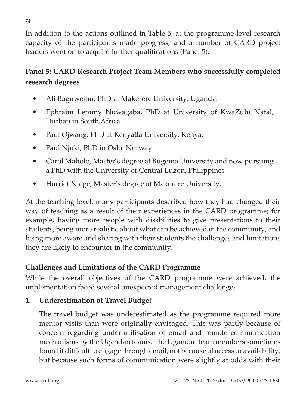In addition to the actions outlined in Table 5, at the programme level research capacity of the participants made progress, and a number of CARD project leaders went on to acquire further qualifications (Panel 5).

# **Panel 5: CARD Research Project Team Members who successfully completed research degrees**

- Ali Baguwemu, PhD at Makerere University, Uganda.
- Ephraim Lemmy Nuwagaba, PhD at University of KwaZulu Natal, Durban in South Africa.
- Paul Ojwang, PhD at Kenyatta University, Kenya.
- Paul Njuki, PhD in Oslo. Norway
- Carol Maholo, Master's degree at Bugema University and now pursuing a PhD with the University of Central Luzon, Philippines
- Harriet Ntege, Master's degree at Makerere University.

At the teaching level, many participants described how they had changed their way of teaching as a result of their experiences in the CARD programme; for example, having more people with disabilities to give presentations to their students, being more realistic about what can be achieved in the community, and being more aware and sharing with their students the challenges and limitations they are likely to encounter in the community.

# **Challenges and Limitations of the CARD Programme**

While the overall objectives of the CARD programme were achieved, the implementation faced several unexpected management challenges.

# **1. Underestimation of Travel Budget**

The travel budget was underestimated as the programme required more mentor visits than were originally envisaged. This was partly because of concern regarding under-utilisation of email and remote communication mechanisms by the Ugandan teams. The Ugandan team members sometimes found it difficult to engage through email, not because of access or availability, but because such forms of communication were slightly at odds with their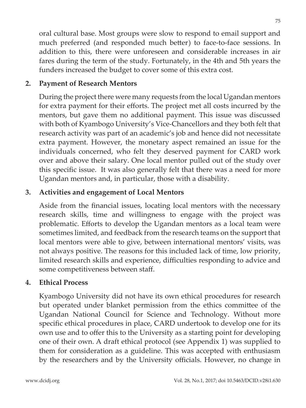oral cultural base. Most groups were slow to respond to email support and much preferred (and responded much better) to face-to-face sessions. In addition to this, there were unforeseen and considerable increases in air fares during the term of the study. Fortunately, in the 4th and 5th years the funders increased the budget to cover some of this extra cost.

## **2. Payment of Research Mentors**

During the project there were many requests from the local Ugandan mentors for extra payment for their efforts. The project met all costs incurred by the mentors, but gave them no additional payment. This issue was discussed with both of Kyambogo University's Vice-Chancellors and they both felt that research activity was part of an academic's job and hence did not necessitate extra payment. However, the monetary aspect remained an issue for the individuals concerned, who felt they deserved payment for CARD work over and above their salary. One local mentor pulled out of the study over this specific issue. It was also generally felt that there was a need for more Ugandan mentors and, in particular, those with a disability.

### **3. Activities and engagement of Local Mentors**

Aside from the financial issues, locating local mentors with the necessary research skills, time and willingness to engage with the project was problematic. Efforts to develop the Ugandan mentors as a local team were sometimes limited, and feedback from the research teams on the support that local mentors were able to give, between international mentors' visits, was not always positive. The reasons for this included lack of time, low priority, limited research skills and experience, difficulties responding to advice and some competitiveness between staff.

### **4. Ethical Process**

Kyambogo University did not have its own ethical procedures for research but operated under blanket permission from the ethics committee of the Ugandan National Council for Science and Technology. Without more specific ethical procedures in place, CARD undertook to develop one for its own use and to offer this to the University as a starting point for developing one of their own. A draft ethical protocol (see Appendix 1) was supplied to them for consideration as a guideline. This was accepted with enthusiasm by the researchers and by the University officials. However, no change in

75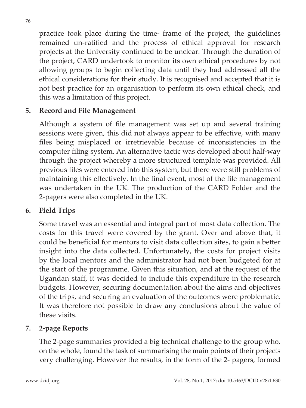practice took place during the time- frame of the project, the guidelines remained un-ratified and the process of ethical approval for research projects at the University continued to be unclear. Through the duration of the project, CARD undertook to monitor its own ethical procedures by not allowing groups to begin collecting data until they had addressed all the ethical considerations for their study. It is recognised and accepted that it is not best practice for an organisation to perform its own ethical check, and this was a limitation of this project.

### **5. Record and File Management**

Although a system of file management was set up and several training sessions were given, this did not always appear to be effective, with many files being misplaced or irretrievable because of inconsistencies in the computer filing system. An alternative tactic was developed about half-way through the project whereby a more structured template was provided. All previous files were entered into this system, but there were still problems of maintaining this effectively. In the final event, most of the file management was undertaken in the UK. The production of the CARD Folder and the 2-pagers were also completed in the UK.

### **6. Field Trips**

Some travel was an essential and integral part of most data collection. The costs for this travel were covered by the grant. Over and above that, it could be beneficial for mentors to visit data collection sites, to gain a better insight into the data collected. Unfortunately, the costs for project visits by the local mentors and the administrator had not been budgeted for at the start of the programme. Given this situation, and at the request of the Ugandan staff, it was decided to include this expenditure in the research budgets. However, securing documentation about the aims and objectives of the trips, and securing an evaluation of the outcomes were problematic. It was therefore not possible to draw any conclusions about the value of these visits.

## **7. 2-page Reports**

The 2-page summaries provided a big technical challenge to the group who, on the whole, found the task of summarising the main points of their projects very challenging. However the results, in the form of the 2- pagers, formed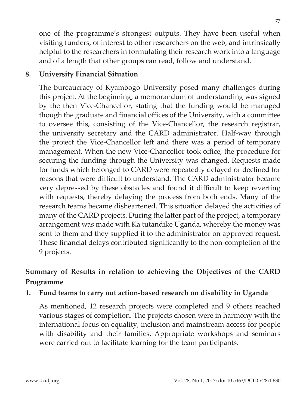one of the programme's strongest outputs. They have been useful when visiting funders, of interest to other researchers on the web, and intrinsically helpful to the researchers in formulating their research work into a language and of a length that other groups can read, follow and understand.

#### **8. University Financial Situation**

The bureaucracy of Kyambogo University posed many challenges during this project. At the beginning, a memorandum of understanding was signed by the then Vice-Chancellor, stating that the funding would be managed though the graduate and financial offices of the University, with a committee to oversee this, consisting of the Vice-Chancellor, the research registrar, the university secretary and the CARD administrator. Half-way through the project the Vice-Chancellor left and there was a period of temporary management. When the new Vice-Chancellor took office, the procedure for securing the funding through the University was changed. Requests made for funds which belonged to CARD were repeatedly delayed or declined for reasons that were difficult to understand. The CARD administrator became very depressed by these obstacles and found it difficult to keep reverting with requests, thereby delaying the process from both ends. Many of the research teams became disheartened. This situation delayed the activities of many of the CARD projects. During the latter part of the project, a temporary arrangement was made with Ka tutandike Uganda, whereby the money was sent to them and they supplied it to the administrator on approved request. These financial delays contributed significantly to the non-completion of the 9 projects.

### **Summary of Results in relation to achieving the Objectives of the CARD Programme**

### **1. Fund teams to carry out action-based research on disability in Uganda**

As mentioned, 12 research projects were completed and 9 others reached various stages of completion. The projects chosen were in harmony with the international focus on equality, inclusion and mainstream access for people with disability and their families. Appropriate workshops and seminars were carried out to facilitate learning for the team participants.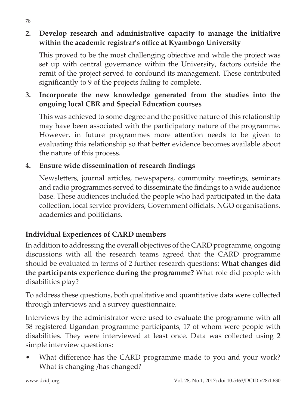### **2. Develop research and administrative capacity to manage the initiative within the academic registrar's office at Kyambogo University**

This proved to be the most challenging objective and while the project was set up with central governance within the University, factors outside the remit of the project served to confound its management. These contributed significantly to 9 of the projects failing to complete.

### **3. Incorporate the new knowledge generated from the studies into the ongoing local CBR and Special Education courses**

This was achieved to some degree and the positive nature of this relationship may have been associated with the participatory nature of the programme. However, in future programmes more attention needs to be given to evaluating this relationship so that better evidence becomes available about the nature of this process.

### **4. Ensure wide dissemination of research findings**

Newsletters, journal articles, newspapers, community meetings, seminars and radio programmes served to disseminate the findings to a wide audience base. These audiences included the people who had participated in the data collection, local service providers, Government officials, NGO organisations, academics and politicians.

### **Individual Experiences of CARD members**

In addition to addressing the overall objectives of the CARD programme, ongoing discussions with all the research teams agreed that the CARD programme should be evaluated in terms of 2 further research questions: **What changes did the participants experience during the programme?** What role did people with disabilities play?

To address these questions, both qualitative and quantitative data were collected through interviews and a survey questionnaire.

Interviews by the administrator were used to evaluate the programme with all 58 registered Ugandan programme participants, 17 of whom were people with disabilities. They were interviewed at least once. Data was collected using 2 simple interview questions:

What difference has the CARD programme made to you and your work? What is changing /has changed?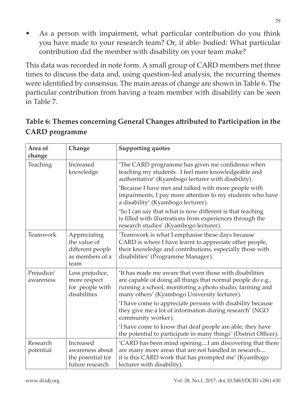As a person with impairment, what particular contribution do you think you have made to your research team? Or, if able- bodied: What particular contribution did the member with disability on your team make?

This data was recorded in note form. A small group of CARD members met three times to discuss the data and, using question-led analysis, the recurring themes were identified by consensus. The main areas of change are shown in Table 6. The particular contribution from having a team member with disability can be seen in Table 7.

| Area of<br>change       | Change                                                                      | <b>Supporting quotes</b>                                                                                                                                                                                                                                                                                                  |
|-------------------------|-----------------------------------------------------------------------------|---------------------------------------------------------------------------------------------------------------------------------------------------------------------------------------------------------------------------------------------------------------------------------------------------------------------------|
| Teaching                | Increased<br>knowledge                                                      | 'The CARD programme has given me confidence when<br>teaching my students. I feel more knowledgeable and<br>authoritative' (Kyambogo lecturer with disability).<br>'Because I have met and talked with more people with<br>impairments, I pay more attention to my students who have<br>a disability' (Kyambogo lecturer). |
|                         |                                                                             | 'So I can say that what is now different is that teaching<br>is filled with illustrations from experiences through the<br>research studies' (Kyambogo lecturer).                                                                                                                                                          |
| Teamwork                | Appreciating<br>the value of<br>different people<br>as members of a<br>team | 'Teamwork is what I emphasise these days because<br>CARD is where I have learnt to appreciate other people,<br>their knowledge and contributions, especially those with<br>disabilities' (Programme Manager).                                                                                                             |
| Prejudice/<br>awareness | Less prejudice,<br>more respect<br>for people with<br>disabilities          | It has made me aware that even those with disabilities<br>are capable of doing all things that normal people do e.g.,<br>running a school, monitoring a photo studio, farming and<br>many others' (Kyambogo University lecturer).                                                                                         |
|                         |                                                                             | 'I have come to appreciate persons with disability because<br>they give me a lot of information during research' (NGO<br>community worker).                                                                                                                                                                               |
|                         |                                                                             | I have come to know that deaf people are able, they have<br>the potential to participate in many things' (District Officer).                                                                                                                                                                                              |
| Research<br>potential   | Increased<br>awareness about<br>the potential for<br>future research        | 'CARD has been mind openingI am discovering that there<br>are many more areas that are not handled in research<br>it is this CARD work that has prompted me' (Kyambogo<br>lecturer with disability).                                                                                                                      |

# **Table 6: Themes concerning General Changes attributed to Participation in the CARD programme**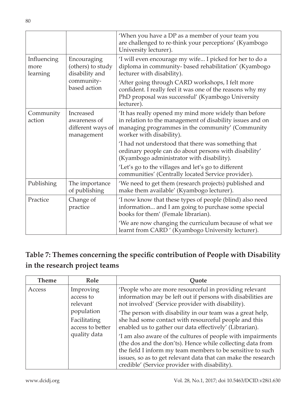|                                 |                                                              | 'When you have a DP as a member of your team you<br>are challenged to re-think your perceptions' (Kyambogo<br>University lecturer).                                                                |
|---------------------------------|--------------------------------------------------------------|----------------------------------------------------------------------------------------------------------------------------------------------------------------------------------------------------|
| Influencing<br>more<br>learning | Encouraging<br>(others) to study<br>disability and           | 'I will even encourage my wife I picked for her to do a<br>diploma in community-based rehabilitation' (Kyambogo<br>lecturer with disability).                                                      |
|                                 | community-<br>based action                                   | 'After going through CARD workshops, I felt more<br>confident. I really feel it was one of the reasons why my<br>PhD proposal was successful' (Kyambogo University<br>lecturer).                   |
| Community<br>action             | Increased<br>awareness of<br>different ways of<br>management | 'It has really opened my mind more widely than before<br>in relation to the management of disability issues and on<br>managing programmes in the community' (Community<br>worker with disability). |
|                                 |                                                              | I had not understood that there was something that<br>ordinary people can do about persons with disability'<br>(Kyambogo administrator with disability).                                           |
|                                 |                                                              | 'Let's go to the villages and let's go to different<br>communities' (Centrally located Service provider).                                                                                          |
| Publishing                      | The importance<br>of publishing                              | 'We need to get them (research projects) published and<br>make them available' (Kyambogo lecturer).                                                                                                |
| Practice                        | Change of<br>practice                                        | 'I now know that these types of people (blind) also need<br>information and I am going to purchase some special<br>books for them' (Female librarian).                                             |
|                                 |                                                              | 'We are now changing the curriculum because of what we<br>learnt from CARD' (Kyambogo University lecturer).                                                                                        |

# **Table 7: Themes concerning the specific contribution of People with Disability in the research project teams**

| <b>Theme</b> | Role                                                                                                 | Ouote                                                                                                                                                                                   |
|--------------|------------------------------------------------------------------------------------------------------|-----------------------------------------------------------------------------------------------------------------------------------------------------------------------------------------|
| Access       | Improving<br>access to<br>relevant<br>population<br>Facilitating<br>access to better<br>quality data | 'People who are more resourceful in providing relevant<br>information may be left out if persons with disabilities are<br>not involved' (Service provider with disability).             |
|              |                                                                                                      | The person with disability in our team was a great help,<br>she had some contact with resourceful people and this<br>enabled us to gather our data effectively' (Librarian).            |
|              |                                                                                                      | 'I am also aware of the cultures of people with impairments<br>(the dos and the don'ts). Hence while collecting data from<br>the field I inform my team members to be sensitive to such |
|              |                                                                                                      | issues, so as to get relevant data that can make the research<br>credible' (Service provider with disability).                                                                          |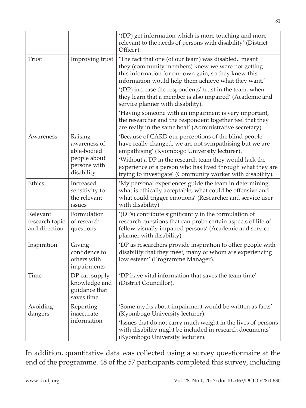|                                             |                                                               | '(DP) get information which is more touching and more<br>relevant to the needs of persons with disability' (District<br>Officer).                                                                                         |
|---------------------------------------------|---------------------------------------------------------------|---------------------------------------------------------------------------------------------------------------------------------------------------------------------------------------------------------------------------|
| Trust                                       | Improving trust                                               | 'The fact that one (of our team) was disabled, meant<br>they (community members) knew we were not getting<br>this information for our own gain, so they knew this<br>information would help them achieve what they want.' |
|                                             |                                                               | '(DP) increase the respondents' trust in the team, when<br>they learn that a member is also impaired' (Academic and<br>service planner with disability).                                                                  |
|                                             |                                                               | 'Having someone with an impairment is very important,<br>the researcher and the respondent together feel that they<br>are really in the same boat' (Administrative secretary).                                            |
| Awareness                                   | Raising<br>awareness of<br>able-bodied                        | 'Because of CARD our perceptions of the blind people<br>have really changed, we are not sympathising but we are<br>empathising' (Kyombogo University lecturer).                                                           |
|                                             | people about<br>persons with<br>disability                    | 'Without a DP in the research team they would lack the<br>experience of a person who has lived through what they are<br>trying to investigate' (Community worker with disability).                                        |
| Ethics                                      | Increased<br>sensitivity to<br>the relevant<br>issues         | 'My personal experiences guide the team in determining<br>what is ethically acceptable, what could be offensive and<br>what could trigger emotions' (Researcher and service user<br>with disability)                      |
| Relevant<br>research topic<br>and direction | Formulation<br>of research<br>questions                       | '(DPs) contribute significantly in the formulation of<br>research questions that can probe certain aspects of life of<br>fellow visually impaired persons' (Academic and service<br>planner with disability).             |
| Inspiration                                 | Giving<br>confidence to<br>others with<br>impairments         | 'DP as researchers provide inspiration to other people with<br>disability that they meet, many of whom are experiencing<br>low esteem' (Programme Manager).                                                               |
| Time                                        | DP can supply<br>knowledge and<br>guidance that<br>saves time | 'DP have vital information that saves the team time'<br>(District Councillor).                                                                                                                                            |
| Avoiding<br>dangers                         | Reporting<br>inaccurate                                       | 'Some myths about impairment would be written as facts'<br>(Kyombogo University lecturer).                                                                                                                                |
|                                             | information                                                   | 'Issues that do not carry much weight in the lives of persons<br>with disability might be included in research documents'<br>(Kyombogo University lecturer).                                                              |

In addition, quantitative data was collected using a survey questionnaire at the end of the programme. 48 of the 57 participants completed this survey, including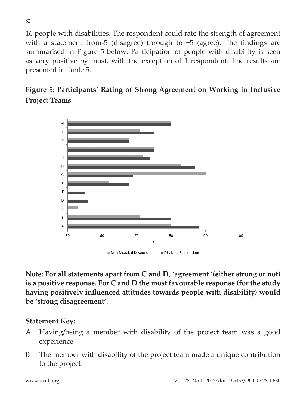16 people with disabilities. The respondent could rate the strength of agreement with a statement from-5 (disagree) through to +5 (agree). The findings are summarised in Figure 5 below. Participation of people with disability is seen as very positive by most, with the exception of 1 respondent. The results are presented in Table 5.

# **Figure 5: Participants' Rating of Strong Agreement on Working in Inclusive Project Teams**



**Note: For all statements apart from C and D, 'agreement '(either strong or not) is a positive response. For C and D the most favourable response (for the study having positively influenced attitudes towards people with disability) would be 'strong disagreement'.**

#### **Statement Key:**

- A Having/being a member with disability of the project team was a good experience
- B The member with disability of the project team made a unique contribution to the project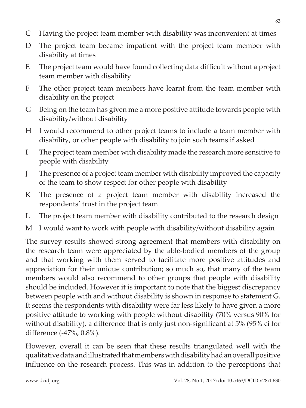- C Having the project team member with disability was inconvenient at times
- D The project team became impatient with the project team member with disability at times
- E The project team would have found collecting data difficult without a project team member with disability
- F The other project team members have learnt from the team member with disability on the project
- G Being on the team has given me a more positive attitude towards people with disability/without disability
- H I would recommend to other project teams to include a team member with disability, or other people with disability to join such teams if asked
- I The project team member with disability made the research more sensitive to people with disability
- J The presence of a project team member with disability improved the capacity of the team to show respect for other people with disability
- K The presence of a project team member with disability increased the respondents' trust in the project team
- L The project team member with disability contributed to the research design
- M I would want to work with people with disability/without disability again

The survey results showed strong agreement that members with disability on the research team were appreciated by the able-bodied members of the group and that working with them served to facilitate more positive attitudes and appreciation for their unique contribution; so much so, that many of the team members would also recommend to other groups that people with disability should be included. However it is important to note that the biggest discrepancy between people with and without disability is shown in response to statement G. It seems the respondents with disability were far less likely to have given a more positive attitude to working with people without disability (70% versus 90% for without disability), a difference that is only just non-significant at 5% (95% ci for difference (-47%, 0.8%).

However, overall it can be seen that these results triangulated well with the qualitative data and illustrated that members with disability had an overall positive influence on the research process. This was in addition to the perceptions that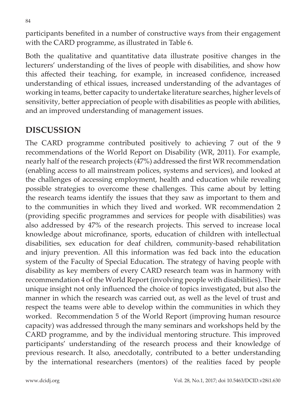participants benefited in a number of constructive ways from their engagement with the CARD programme, as illustrated in Table 6.

Both the qualitative and quantitative data illustrate positive changes in the lecturers' understanding of the lives of people with disabilities, and show how this affected their teaching, for example, in increased confidence, increased understanding of ethical issues, increased understanding of the advantages of working in teams, better capacity to undertake literature searches, higher levels of sensitivity, better appreciation of people with disabilities as people with abilities, and an improved understanding of management issues.

# **DISCUSSION**

The CARD programme contributed positively to achieving 7 out of the 9 recommendations of the World Report on Disability (WR, 2011). For example, nearly half of the research projects (47%) addressed the first WR recommendation (enabling access to all mainstream polices, systems and services), and looked at the challenges of accessing employment, health and education while revealing possible strategies to overcome these challenges. This came about by letting the research teams identify the issues that they saw as important to them and to the communities in which they lived and worked. WR recommendation 2 (providing specific programmes and services for people with disabilities) was also addressed by 47% of the research projects. This served to increase local knowledge about microfinance, sports, education of children with intellectual disabilities, sex education for deaf children, community-based rehabilitation and injury prevention. All this information was fed back into the education system of the Faculty of Special Education. The strategy of having people with disability as key members of every CARD research team was in harmony with recommendation 4 of the World Report (involving people with disabilities). Their unique insight not only influenced the choice of topics investigated, but also the manner in which the research was carried out, as well as the level of trust and respect the teams were able to develop within the communities in which they worked. Recommendation 5 of the World Report (improving human resource capacity) was addressed through the many seminars and workshops held by the CARD programme, and by the individual mentoring structure. This improved participants' understanding of the research process and their knowledge of previous research. It also, anecdotally, contributed to a better understanding by the international researchers (mentors) of the realities faced by people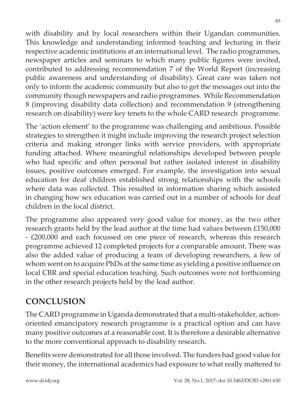with disability and by local researchers within their Ugandan communities. This knowledge and understanding informed teaching and lecturing in their respective academic institutions at an international level. The radio programmes, newspaper articles and seminars to which many public figures were invited, contributed to addressing recommendation 7 of the World Report (increasing public awareness and understanding of disability). Great care was taken not only to inform the academic community but also to get the messages out into the community though newspapers and radio programmes. While Recommendation 8 (improving disability data collection) and recommendation 9 (strengthening research on disability) were key tenets to the whole CARD research programme.

The 'action element' to the programme was challenging and ambitious. Possible strategies to strengthen it might include improving the research project selection criteria and making stronger links with service providers, with appropriate funding attached. Where meaningful relationships developed between people who had specific and often personal but rather isolated interest in disability issues, positive outcomes emerged. For example, the investigation into sexual education for deaf children established strong relationships with the schools where data was collected. This resulted in information sharing which assisted in changing how sex education was carried out in a number of schools for deaf children in the local district.

The programme also appeared very good value for money, as the two other research grants held by the lead author at the time had values between £150,000 - £200,000 and each focussed on one piece of research, whereas this research programme achieved 12 completed projects for a comparable amount. There was also the added value of producing a team of developing researchers, a few of whom went on to acquire PhDs at the same time as yielding a positive influence on local CBR and special education teaching. Such outcomes were not forthcoming in the other research projects held by the lead author.

# **CONCLUSION**

The CARD programme in Uganda demonstrated that a multi-stakeholder, actionoriented emancipatory research programme is a practical option and can have many positive outcomes at a reasonable cost. It is therefore a desirable alternative to the more conventional approach to disability research.

Benefits were demonstrated for all those involved. The funders had good value for their money, the international academics had exposure to what really mattered to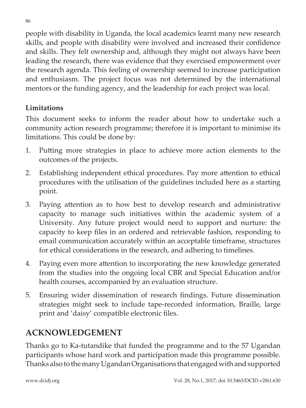people with disability in Uganda, the local academics learnt many new research skills, and people with disability were involved and increased their confidence and skills. They felt ownership and, although they might not always have been leading the research, there was evidence that they exercised empowerment over the research agenda. This feeling of ownership seemed to increase participation and enthusiasm. The project focus was not determined by the international mentors or the funding agency, and the leadership for each project was local.

### **Limitations**

This document seeks to inform the reader about how to undertake such a community action research programme; therefore it is important to minimise its limitations. This could be done by:

- 1. Putting more strategies in place to achieve more action elements to the outcomes of the projects.
- 2. Establishing independent ethical procedures. Pay more attention to ethical procedures with the utilisation of the guidelines included here as a starting point.
- 3. Paying attention as to how best to develop research and administrative capacity to manage such initiatives within the academic system of a University. Any future project would need to support and nurture: the capacity to keep files in an ordered and retrievable fashion, responding to email communication accurately within an acceptable timeframe, structures for ethical considerations in the research, and adhering to timelines.
- 4. Paying even more attention to incorporating the new knowledge generated from the studies into the ongoing local CBR and Special Education and/or health courses, accompanied by an evaluation structure.
- 5. Ensuring wider dissemination of research findings. Future dissemination strategies might seek to include tape-recorded information, Braille, large print and 'daisy' compatible electronic files.

# **ACKNOWLEDGEMENT**

Thanks go to Ka-tutandike that funded the programme and to the 57 Ugandan participants whose hard work and participation made this programme possible. Thanks also to the many Ugandan Organisations that engaged with and supported

86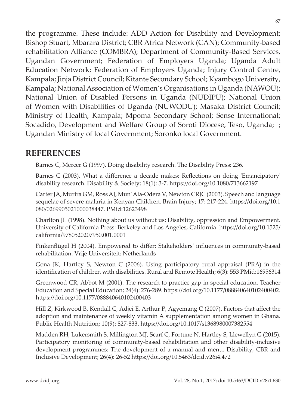the programme. These include: ADD Action for Disability and Development; Bishop Stuart, Mbarara District; CBR Africa Network (CAN); Community-based rehabilitation Alliance (COMBRA); Department of Community-Based Services, Ugandan Government; Federation of Employers Uganda; Uganda Adult Education Network; Federation of Employers Uganda; Injury Control Centre, Kampala; Jinja District Council; Kitante Secondary School; Kyambogo University, Kampala; National Association of Women's Organisations in Uganda (NAWOU); National Union of Disabled Persons in Uganda (NUDIPU); National Union of Women with Disabilities of Uganda (NUWODU); Masaka District Council; Ministry of Health, Kampala; Mpoma Secondary School; Sense International; Socadido, Development and Welfare Group of Soroti Diocese, Teso, Uganda; ; Ugandan Ministry of local Government; Soronko local Government.

### **REFERENCES**

Barnes C, Mercer G (1997). Doing disability research. The Disability Press: 236.

Barnes C (2003). What a difference a decade makes: Reflections on doing 'Emancipatory' disability research. Disability & Society; 18(1): 3-7. https://doi.org/10.1080/713662197

Carter JA, Murira GM, Ross AJ, Mun' Ala-Odera V, Newton CRJC (2003). Speech and language sequelae of severe malaria in Kenyan Children. Brain Injury; 17: 217-224. https://doi.org/10.1 080/0269905021000038447. PMid:12623498

Charlton JL (1998). Nothing about us without us: Disability, oppression and Empowerment. University of California Press: Berkeley and Los Angeles, California. https://doi.org/10.1525/ california/9780520207950.001.0001

Finkenflügel H (2004). Empowered to differ: Stakeholders' influences in community-based rehabilitation. Vrije Universiteit: Netherlands

Gona JK, Hartley S, Newton C (2006). Using participatory rural appraisal (PRA) in the identification of children with disabilities. Rural and Remote Health; 6(3): 553 PMid:16956314

Greenwood CR, Abbot M (2001). The research to practice gap in special education. Teacher Education and Special Education; 24(4): 276-289. https://doi.org/10.1177/088840640102400402. https://doi.org/10.1177/088840640102400403

Hill Z, Kirkwood B, Kendall C, Adjei E, Arthur P, Agyemang C (2007). Factors that affect the adoption and maintenance of weekly vitamin A supplementation among women in Ghana. Public Health Nutrition; 10(9): 827-833. https://doi.org/10.1017/s1368980007382554

Madden RH, Lukersmith S, Millington MJ, Scarf C, Fortune N, Hartley S, Llewellyn G (2015). Participatory monitoring of community-based rehabilitation and other disability-inclusive development programmes: The development of a manual and menu. Disability, CBR and Inclusive Development; 26(4): 26-52 https://doi.org/10.5463/dcid.v26i4.472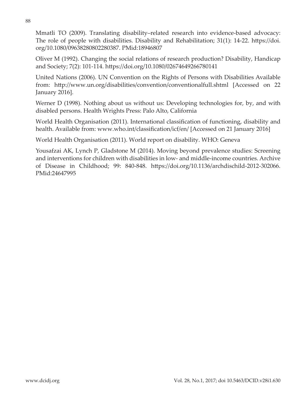Mmatli TO (2009). Translating disability–related research into evidence-based advocacy: The role of people with disabilities. Disability and Rehabilitation; 31(1): 14-22. https://doi. org/10.1080/09638280802280387. PMid:18946807

Oliver M (1992). Changing the social relations of research production? Disability, Handicap and Society; 7(2): 101-114. https://doi.org/10.1080/02674649266780141

United Nations (2006). UN Convention on the Rights of Persons with Disabilities Available from: http://www.un.org/disabilities/convention/conventionalfull.shtml [Accessed on 22 January 2016].

Werner D (1998). Nothing about us without us: Developing technologies for, by, and with disabled persons. Health Wrights Press: Palo Alto, California

World Health Organisation (2011). International classification of functioning, disability and health. Available from: www.who.int/classification/icf/en/ [Accessed on 21 January 2016]

World Health Organisation (2011). World report on disability. WHO: Geneva

Yousafzai AK, Lynch P, Gladstone M (2014). Moving beyond prevalence studies: Screening and interventions for children with disabilities in low- and middle-income countries. Archive of Disease in Childhood; 99: 840-848. https://doi.org/10.1136/archdischild-2012-302066. PMid:24647995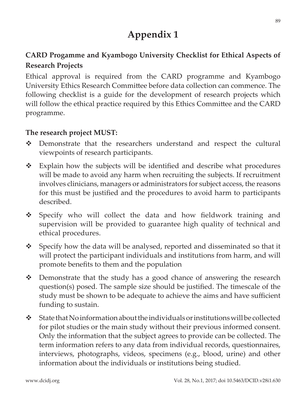# **Appendix 1**

### **CARD Progamme and Kyambogo University Checklist for Ethical Aspects of Research Projects**

Ethical approval is required from the CARD programme and Kyambogo University Ethics Research Committee before data collection can commence. The following checklist is a guide for the development of research projects which will follow the ethical practice required by this Ethics Committee and the CARD programme.

#### **The research project MUST:**

- Demonstrate that the researchers understand and respect the cultural viewpoints of research participants.
- $\div$  Explain how the subjects will be identified and describe what procedures will be made to avoid any harm when recruiting the subjects. If recruitment involves clinicians, managers or administrators for subject access, the reasons for this must be justified and the procedures to avoid harm to participants described.
- Specify who will collect the data and how fieldwork training and supervision will be provided to guarantee high quality of technical and ethical procedures.
- $\bullet$  Specify how the data will be analysed, reported and disseminated so that it will protect the participant individuals and institutions from harm, and will promote benefits to them and the population
- $\triangle$  Demonstrate that the study has a good chance of answering the research question(s) posed. The sample size should be justified. The timescale of the study must be shown to be adequate to achieve the aims and have sufficient funding to sustain.
- $\triangle$  State that No information about the individuals or institutions will be collected for pilot studies or the main study without their previous informed consent. Only the information that the subject agrees to provide can be collected. The term information refers to any data from individual records, questionnaires, interviews, photographs, videos, specimens (e.g., blood, urine) and other information about the individuals or institutions being studied.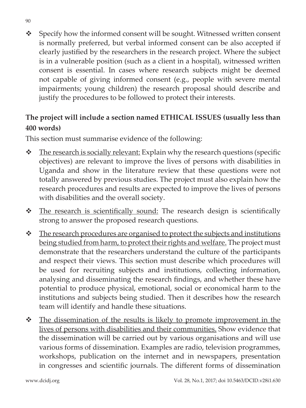Specify how the informed consent will be sought. Witnessed written consent is normally preferred, but verbal informed consent can be also accepted if clearly justified by the researchers in the research project. Where the subject is in a vulnerable position (such as a client in a hospital), witnessed written consent is essential. In cases where research subjects might be deemed not capable of giving informed consent (e.g., people with severe mental impairments; young children) the research proposal should describe and justify the procedures to be followed to protect their interests.

### **The project will include a section named ETHICAL ISSUES (usually less than 400 words)**

This section must summarise evidence of the following:

- $\triangle$  The research is socially relevant: Explain why the research questions (specific objectives) are relevant to improve the lives of persons with disabilities in Uganda and show in the literature review that these questions were not totally answered by previous studies. The project must also explain how the research procedures and results are expected to improve the lives of persons with disabilities and the overall society.
- \* The research is scientifically sound: The research design is scientifically strong to answer the proposed research questions.
- \* The research procedures are organised to protect the subjects and institutions being studied from harm, to protect their rights and welfare. The project must demonstrate that the researchers understand the culture of the participants and respect their views. This section must describe which procedures will be used for recruiting subjects and institutions, collecting information, analysing and disseminating the research findings, and whether these have potential to produce physical, emotional, social or economical harm to the institutions and subjects being studied. Then it describes how the research team will identify and handle these situations.
- \* The dissemination of the results is likely to promote improvement in the lives of persons with disabilities and their communities. Show evidence that the dissemination will be carried out by various organisations and will use various forms of dissemination. Examples are radio, television programmes, workshops, publication on the internet and in newspapers, presentation in congresses and scientific journals. The different forms of dissemination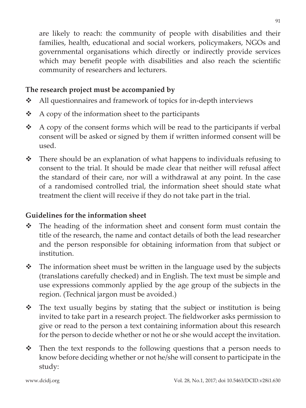are likely to reach: the community of people with disabilities and their families, health, educational and social workers, policymakers, NGOs and governmental organisations which directly or indirectly provide services which may benefit people with disabilities and also reach the scientific community of researchers and lecturers.

### **The research project must be accompanied by**

- $\triangleleft$  All questionnaires and framework of topics for in-depth interviews
- $\triangle$  A copy of the information sheet to the participants
- $\triangle$  A copy of the consent forms which will be read to the participants if verbal consent will be asked or signed by them if written informed consent will be used.
- There should be an explanation of what happens to individuals refusing to consent to the trial. It should be made clear that neither will refusal affect the standard of their care, nor will a withdrawal at any point. In the case of a randomised controlled trial, the information sheet should state what treatment the client will receive if they do not take part in the trial.

### **Guidelines for the information sheet**

- The heading of the information sheet and consent form must contain the title of the research, the name and contact details of both the lead researcher and the person responsible for obtaining information from that subject or institution.
- $\hat{\mathbf{v}}$  The information sheet must be written in the language used by the subjects (translations carefully checked) and in English. The text must be simple and use expressions commonly applied by the age group of the subjects in the region. (Technical jargon must be avoided.)
- $\hat{\mathbf{v}}$  The text usually begins by stating that the subject or institution is being invited to take part in a research project. The fieldworker asks permission to give or read to the person a text containing information about this research for the person to decide whether or not he or she would accept the invitation.
- $\cdot \cdot$  Then the text responds to the following questions that a person needs to know before deciding whether or not he/she will consent to participate in the study: